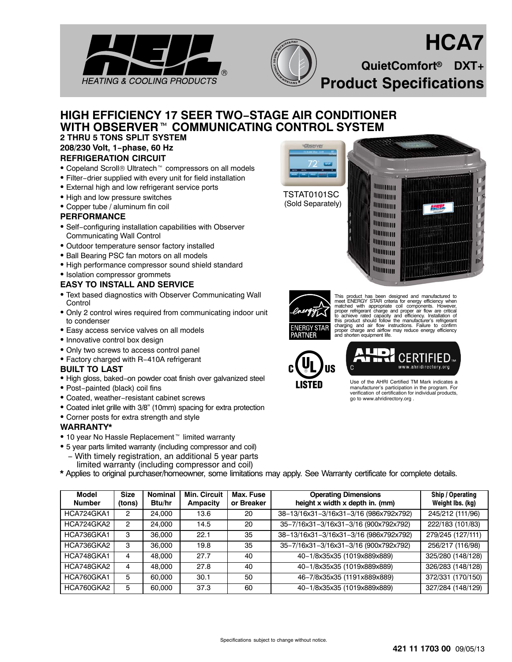



# **HCA7**

**QuietComfort DXT+ RProduct Specifications** 

# **HIGH EFFICIENCY 17 SEER TWO−STAGE AIR CONDITIONER WITH OBSERVER™ COMMUNICATING CONTROL SYSTEM**

#### **2 THRU 5 TONS SPLIT SYSTEM 208/230 Volt, 1−phase, 60 Hz REFRIGERATION CIRCUIT**

- Copeland Scroll® Ultratech<sup>™</sup> compressors on all models
- Filter−drier supplied with every unit for field installation
- **•** External high and low refrigerant service ports
- High and low pressure switches
- Copper tube / aluminum fin coil

#### **PERFORMANCE**

- Self−configuring installation capabilities with Observer Communicating Wall Control
- Outdoor temperature sensor factory installed
- Ball Bearing PSC fan motors on all models
- High performance compressor sound shield standard
- · Isolation compressor grommets

### **EASY TO INSTALL AND SERVICE**

- Text based diagnostics with Observer Communicating Wall **Control**
- Only 2 control wires required from communicating indoor unit to condenser
- Easy access service valves on all models
- Innovative control box design
- Only two screws to access control panel
- Factory charged with R−410A refrigerant

#### **BUILT TO LAST**

- High gloss, baked−on powder coat finish over galvanized steel
- Post−painted (black) coil fins
- Coated, weather−resistant cabinet screws
- Coated inlet grille with 3/8" (10mm) spacing for extra protection
- Corner posts for extra strength and style

#### **WARRANTY\***

- 10 year No Hassle Replacement<sup>™</sup> limited warranty
- 5 year parts limited warranty (including compressor and coil)
- − With timely registration, an additional 5 year parts limited warranty (including compressor and coil)
- **\*** Applies to original purchaser/homeowner, some limitations may apply. See Warranty certificate for complete details.

| Model<br><b>Number</b> | <b>Size</b><br>(tons) | <b>Nominal</b><br>Btu/hr | <b>Min. Circuit</b><br>Ampacity | Max. Fuse<br>or Breaker | <b>Operating Dimensions</b><br>height x width x depth in. (mm) | Ship / Operating<br>Weight Ibs. (kg) |
|------------------------|-----------------------|--------------------------|---------------------------------|-------------------------|----------------------------------------------------------------|--------------------------------------|
| HCA724GKA1             | 2                     | 24.000                   | 13.6                            | 20                      | 38-13/16x31-3/16x31-3/16 (986x792x792)                         | 245/212 (111/96)                     |
| HCA724GKA2             | 2                     | 24.000                   | 14.5                            | 20                      | 35-7/16x31-3/16x31-3/16 (900x792x792)                          | 222/183 (101/83)                     |
| HCA736GKA1             | 3                     | 36,000                   | 22.1                            | 35                      | 38-13/16x31-3/16x31-3/16 (986x792x792)                         | 279/245 (127/111)                    |
| HCA736GKA2             | 3                     | 36,000                   | 19.8                            | 35                      | 35-7/16x31-3/16x31-3/16 (900x792x792)                          | 256/217 (116/98)                     |
| HCA748GKA1             | 4                     | 48,000                   | 27.7                            | 40                      | 40-1/8x35x35 (1019x889x889)                                    | 325/280 (148/128)                    |
| HCA748GKA2             | 4                     | 48.000                   | 27.8                            | 40                      | 40-1/8x35x35 (1019x889x889)                                    | 326/283 (148/128)                    |
| HCA760GKA1             | 5                     | 60,000                   | 30.1                            | 50                      | 46-7/8x35x35 (1191x889x889)                                    | 372/331 (170/150)                    |
| HCA760GKA2             | 5                     | 60,000                   | 37.3                            | 60                      | 40-1/8x35x35 (1019x889x889)                                    | 327/284 (148/129)                    |





This product has been designed and manufactured to<br>metel ENERGY STAR criteria for energy efficiency when<br>matched with appropriate coil components. However,<br>proper refrigerant charge and proper air flow are critical<br>to achi charging and air flow instructions. Failure to confirm proper charge and airflow may reduce energy efficiency and shorten equipment life.



Use of the AHRI Certified TM Mark indicates a manufacturer's participation in the program. For verification of certification for individual products, go to www.ahridirectory.org .

www.ahridirectory.org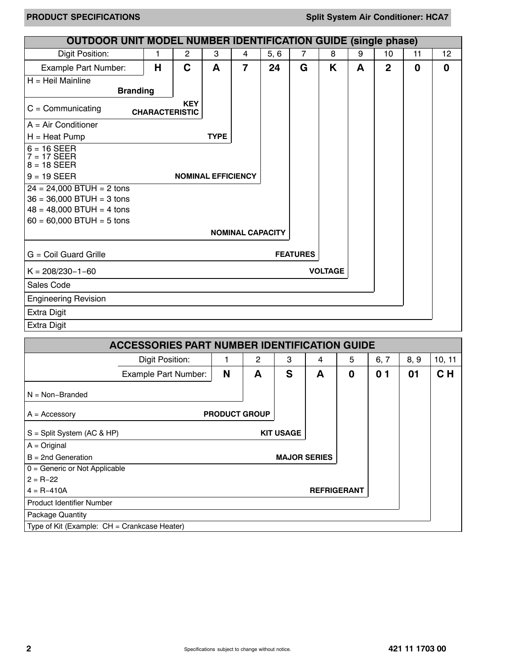| <b>OUTDOOR UNIT MODEL NUMBER IDENTIFICATION GUIDE (single phase)</b> |                       |            |                           |                         |      |                 |                |   |                |             |             |
|----------------------------------------------------------------------|-----------------------|------------|---------------------------|-------------------------|------|-----------------|----------------|---|----------------|-------------|-------------|
| Digit Position:                                                      | 1                     | 2          | 3                         | 4                       | 5, 6 | 7               | 8              | 9 | 10             | 11          | 12          |
| Example Part Number:                                                 | H                     | C          | A                         | $\overline{7}$          | 24   | G               | K              | A | $\overline{2}$ | $\mathbf 0$ | $\mathbf 0$ |
| $H = Heil$ Mainline                                                  |                       |            |                           |                         |      |                 |                |   |                |             |             |
| <b>Branding</b>                                                      |                       |            |                           |                         |      |                 |                |   |                |             |             |
| $C =$ Communicating                                                  | <b>CHARACTERISTIC</b> | <b>KEY</b> |                           |                         |      |                 |                |   |                |             |             |
| $A = Air Conditioner$                                                |                       |            |                           |                         |      |                 |                |   |                |             |             |
| $H =$ Heat Pump                                                      |                       |            | <b>TYPE</b>               |                         |      |                 |                |   |                |             |             |
| $6 = 16$ SEER<br>$7 = 17$ SEER<br>$8 = 18$ SEER                      |                       |            |                           |                         |      |                 |                |   |                |             |             |
| $9 = 19$ SEER                                                        |                       |            | <b>NOMINAL EFFICIENCY</b> |                         |      |                 |                |   |                |             |             |
| $24 = 24,000$ BTUH = 2 tons                                          |                       |            |                           |                         |      |                 |                |   |                |             |             |
| $36 = 36,000$ BTUH = 3 tons                                          |                       |            |                           |                         |      |                 |                |   |                |             |             |
| $48 = 48,000$ BTUH = 4 tons                                          |                       |            |                           |                         |      |                 |                |   |                |             |             |
| $60 = 60,000$ BTUH = 5 tons                                          |                       |            |                           |                         |      |                 |                |   |                |             |             |
|                                                                      |                       |            |                           | <b>NOMINAL CAPACITY</b> |      |                 |                |   |                |             |             |
| $G = Coil$ Guard Grille                                              |                       |            |                           |                         |      | <b>FEATURES</b> |                |   |                |             |             |
| $K = 208/230 - 1 - 60$                                               |                       |            |                           |                         |      |                 | <b>VOLTAGE</b> |   |                |             |             |
| Sales Code                                                           |                       |            |                           |                         |      |                 |                |   |                |             |             |
| <b>Engineering Revision</b>                                          |                       |            |                           |                         |      |                 |                |   |                |             |             |
| <b>Extra Digit</b>                                                   |                       |            |                           |                         |      |                 |                |   |                |             |             |
| <b>Extra Digit</b>                                                   |                       |            |                           |                         |      |                 |                |   |                |             |             |

|                                              | <b>ACCESSORIES PART NUMBER IDENTIFICATION GUIDE</b> |                      |   |                     |   |                    |                |      |                |
|----------------------------------------------|-----------------------------------------------------|----------------------|---|---------------------|---|--------------------|----------------|------|----------------|
|                                              | Digit Position:                                     |                      | 2 | 3                   | 4 | 5                  | 6, 7           | 8, 9 | 10, 11         |
|                                              | Example Part Number:                                | N                    | A | S                   | A | 0                  | 0 <sub>1</sub> | 01   | C <sub>H</sub> |
| $N = Non-Branded$                            |                                                     |                      |   |                     |   |                    |                |      |                |
| $A = Accessory$                              |                                                     | <b>PRODUCT GROUP</b> |   |                     |   |                    |                |      |                |
| $S =$ Split System (AC & HP)                 |                                                     |                      |   | <b>KIT USAGE</b>    |   |                    |                |      |                |
| $A = Original$                               |                                                     |                      |   |                     |   |                    |                |      |                |
| $B = 2nd$ Generation                         |                                                     |                      |   | <b>MAJOR SERIES</b> |   |                    |                |      |                |
| $0 =$ Generic or Not Applicable              |                                                     |                      |   |                     |   |                    |                |      |                |
| $2 = R - 22$                                 |                                                     |                      |   |                     |   |                    |                |      |                |
| $4 = R - 410A$                               |                                                     |                      |   |                     |   | <b>REFRIGERANT</b> |                |      |                |
| <b>Product Identifier Number</b>             |                                                     |                      |   |                     |   |                    |                |      |                |
| Package Quantity                             |                                                     |                      |   |                     |   |                    |                |      |                |
| Type of Kit (Example: CH = Crankcase Heater) |                                                     |                      |   |                     |   |                    |                |      |                |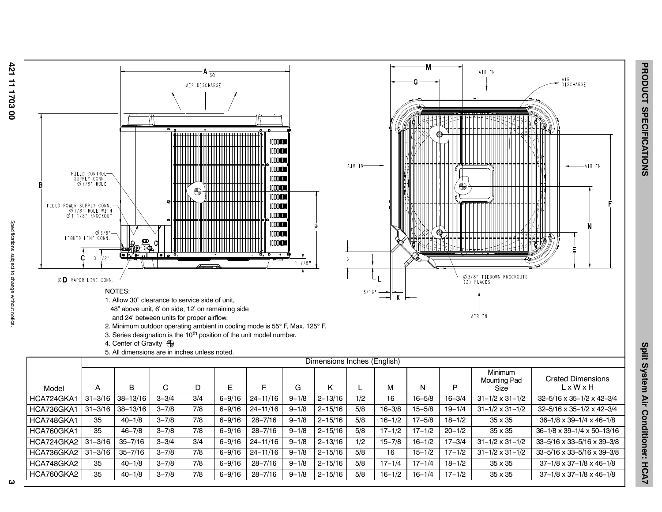

|                        |             |              |           |     |            |              |           | Dimensions Inches (English) |     |            |            |            |                                        |                                                   |
|------------------------|-------------|--------------|-----------|-----|------------|--------------|-----------|-----------------------------|-----|------------|------------|------------|----------------------------------------|---------------------------------------------------|
| Model                  | A           | B            | С         | D   | Е          |              | G         | κ                           |     | м          | N          | D          | Minimum<br><b>Mounting Pad</b><br>Size | <b>Crated Dimensions</b><br>$L \times W \times H$ |
| HCA724GKA <sup>.</sup> | $31 - 3/16$ | $38 - 13/16$ | $3 - 3/4$ | 3/4 | $6 - 9/16$ | $24 - 11/16$ | $9 - 1/8$ | $2 - 13/16$                 | 1/2 | 16         | $16 - 5/8$ | $16 - 3/4$ | $31 - 1/2 \times 31 - 1/2$             | $32 - 5/16 \times 35 - 1/2 \times 42 - 3/4$       |
| HCA736GKA1             | $31 - 3/16$ | $38 - 13/16$ | $3 - 7/8$ | 7/8 | $6 - 9/16$ | $24 - 11/16$ | $9 - 1/8$ | $2 - 15/16$                 | 5/8 | $16 - 3/8$ | $15 - 5/8$ | $19 - 1/4$ | $31 - 1/2 \times 31 - 1/2$             | $32 - 5/16 \times 35 - 1/2 \times 42 - 3/4$       |
| HCA748GKA1             | 35          | $40 - 1/8$   | $3 - 7/8$ | 7/8 | $6 - 9/16$ | $28 - 7/16$  | $9 - 1/8$ | $2 - 15/16$                 | 5/8 | $16 - 1/2$ | $17 - 5/8$ | $18 - 1/2$ | 35 x 35                                | $36-1/8 \times 39-1/4 \times 46-1/8$              |
| HCA760GKA1             | 35          | $46 - 7/8$   | $3 - 7/8$ | 7/8 | $6 - 9/16$ | $28 - 7/16$  | $9 - 1/8$ | $2 - 15/16$                 | 5/8 | $17 - 1/2$ | $17 - 1/2$ | $20 - 1/2$ | 35 x 35                                | 36-1/8 x 39-1/4 x 50-13/16                        |
| HCA724GKA2 I           | $31 - 3/16$ | $35 - 7/16$  | $3 - 3/4$ | 3/4 | $6 - 9/16$ | $24 - 11/16$ | $9 - 1/8$ | $2 - 13/16$                 | 1/2 | $15 - 7/8$ | $16 - 1/2$ | $17 - 3/4$ | $31 - 1/2 \times 31 - 1/2$             | $33 - 5/16 \times 33 - 5/16 \times 39 - 3/8$      |
| HCA736GKA2 I           | $31 - 3/16$ | $35 - 7/16$  | $3 - 7/8$ | 7/8 | $6 - 9/16$ | $24 - 11/16$ | $9 - 1/8$ | $2 - 15/16$                 | 5/8 | 16         | $15 - 1/2$ | $17 - 1/2$ | $31 - 1/2 \times 31 - 1/2$             | 33-5/16 x 33-5/16 x 39-3/8                        |
| HCA748GKA2             | 35          | $40 - 1/8$   | $3 - 7/8$ | 7/8 | $6 - 9/16$ | $28 - 7/16$  | $9 - 1/8$ | $2 - 15/16$                 | 5/8 | $17 - 1/4$ | $17 - 1/4$ | $18 - 1/2$ | 35 x 35                                | $37-1/8 \times 37-1/8 \times 46-1/8$              |
| HCA760GKA2             | 35          | $40 - 1/8$   | $3 - 7/8$ | 7/8 | $6 - 9/16$ | $28 - 7/16$  | $9 - 1/8$ | $2 - 15/16$                 | 5/8 | $16 - 1/2$ | $16 - 1/4$ | $17 - 1/2$ | 35 x 35                                | $37-1/8 \times 37-1/8 \times 46-1/8$              |

**PRODUCT SPECIFICATIONS**

PRODUCT SPECIFICATIONS

**Split**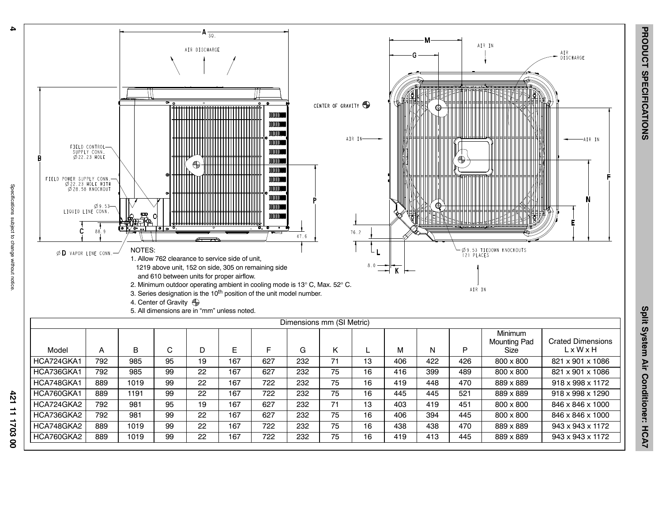

**4**

Specifications

subject to change without notice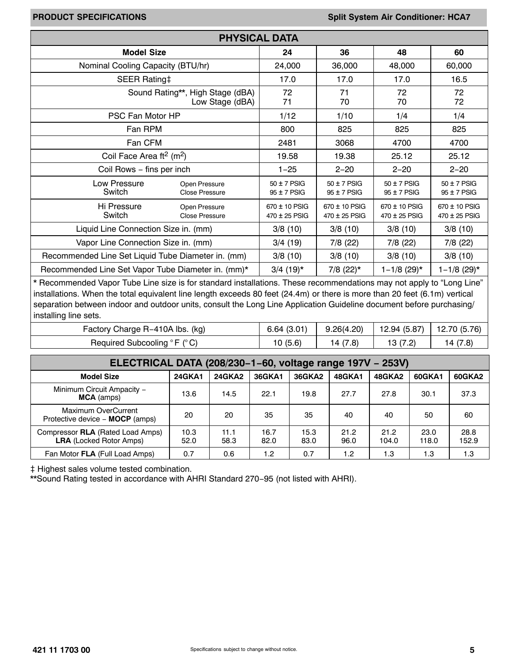|                                                                  | <b>PHYSICAL DATA</b>                   |                                        |                                    |                                    |
|------------------------------------------------------------------|----------------------------------------|----------------------------------------|------------------------------------|------------------------------------|
| <b>Model Size</b>                                                | 24                                     | 36                                     | 48                                 | 60                                 |
| Nominal Cooling Capacity (BTU/hr)                                | 24,000                                 | 36,000                                 | 48,000                             | 60,000                             |
| SEER Rating‡                                                     | 17.0                                   | 17.0                                   | 17.0                               | 16.5                               |
| Sound Rating**, High Stage (dBA)<br>Low Stage (dBA)              | 72<br>71                               | 71<br>70                               | 72<br>70                           | 72<br>72                           |
| PSC Fan Motor HP                                                 | 1/12                                   | 1/10                                   | 1/4                                | 1/4                                |
| Fan RPM                                                          | 800                                    | 825                                    | 825                                | 825                                |
| Fan CFM                                                          | 2481                                   | 3068                                   | 4700                               | 4700                               |
| Coil Face Area ft <sup>2</sup> (m <sup>2</sup> )                 | 19.58                                  | 19.38                                  | 25.12                              | 25.12                              |
| Coil Rows - fins per inch                                        | $1 - 25$                               | $2 - 20$                               | $2 - 20$                           | $2 - 20$                           |
| Low Pressure<br>Open Pressure<br>Switch<br><b>Close Pressure</b> | $50 \pm 7$ PSIG<br>$95 \pm 7$ PSIG     | $50 \pm 7$ PSIG<br>$95 \pm 7$ PSIG     | $50 \pm 7$ PSIG<br>$95 \pm 7$ PSIG | $50 \pm 7$ PSIG<br>$95 \pm 7$ PSIG |
| Hi Pressure<br>Open Pressure<br>Switch<br><b>Close Pressure</b>  | $670 \pm 10$ PSIG<br>$470 \pm 25$ PSIG | $670 \pm 10$ PSIG<br>$470 \pm 25$ PSIG | 670 ± 10 PSIG<br>470 ± 25 PSIG     | $670 \pm 10$ PSIG<br>470 ± 25 PSIG |
| Liquid Line Connection Size in. (mm)                             | 3/8(10)                                | 3/8(10)                                | 3/8(10)                            | 3/8(10)                            |
| Vapor Line Connection Size in. (mm)                              | 3/4(19)                                | 7/8 (22)                               | 7/8 (22)                           | 7/8 (22)                           |
| Recommended Line Set Liquid Tube Diameter in. (mm)               | 3/8(10)                                | 3/8(10)                                | 3/8(10)                            | 3/8(10)                            |
| Recommended Line Set Vapor Tube Diameter in. (mm)*               | $3/4$ (19)*                            | $7/8$ (22) <sup>*</sup>                | $1 - 1/8$ (29)*                    | $1 - 1/8$ (29)*                    |

\* Recommended Vapor Tube Line size is for standard installations. These recommendations may not apply to "Long Line" installations. When the total equivalent line length exceeds 80 feet (24.4m) or there is more than 20 feet (6.1m) vertical separation between indoor and outdoor units, consult the Long Line Application Guideline document before purchasing/ installing line sets.

| Factory Charge R-410A lbs. (kg) | 6.64(3.01) | 9.26(4.20)          | 12.94 (5.87) | 12.70 (5.76) |
|---------------------------------|------------|---------------------|--------------|--------------|
| Required<br>Subcooling          | (5.6)      | $\left( 7.8\right)$ | .            |              |

| ELECTRICAL DATA (208/230-1-60, voltage range 197V - 253V)                 |               |               |              |               |              |               |               |               |
|---------------------------------------------------------------------------|---------------|---------------|--------------|---------------|--------------|---------------|---------------|---------------|
| <b>Model Size</b>                                                         | <b>24GKA1</b> | <b>24GKA2</b> | 36GKA1       | <b>36GKA2</b> | 48GKA1       | 48GKA2        | 60GKA1        | 60GKA2        |
| Minimum Circuit Ampacity -<br><b>MCA</b> (amps)                           | 13.6          | 14.5          | 22.1         | 19.8          | 27.7         | 27.8          | 30.1          | 37.3          |
| Maximum OverCurrent<br>Protective device – <b>MOCP</b> (amps)             | 20            | 20            | 35           | 35            | 40           | 40            | 50            | 60            |
| Compressor <b>RLA</b> (Rated Load Amps)<br><b>LRA</b> (Locked Rotor Amps) | 10.3<br>52.0  | 11.1<br>58.3  | 16.7<br>82.0 | 15.3<br>83.0  | 21.2<br>96.0 | 21.2<br>104.0 | 23.0<br>118.0 | 28.8<br>152.9 |
| Fan Motor FLA (Full Load Amps)                                            | 0.7           | 0.6           | 1.2          | 0.7           | 1.2          | 1.3           | 1.3           | 1.3           |

 $\ddagger$  Highest sales volume tested combination.

\*\*Sound Rating tested in accordance with AHRI Standard 270−95 (not listed with AHRI).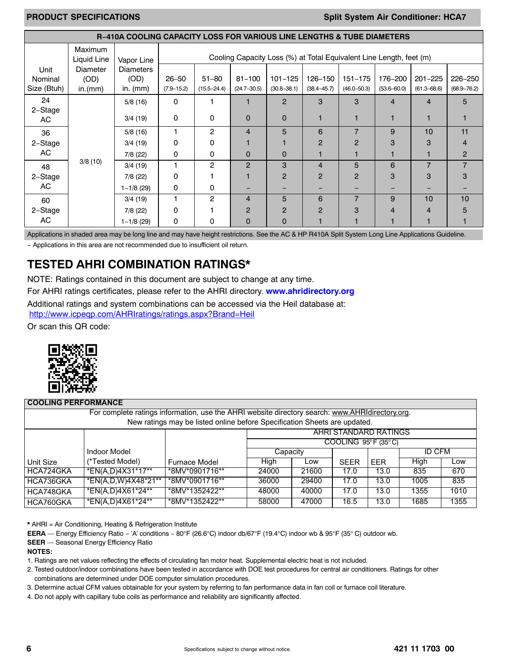### **PRODUCT SPECIFICATIONS Split System Air Conditioner: HCA7**

|                                |                               | <b>R-410A COOLING CAPACITY LOSS FOR VARIOUS LINE LENGTHS &amp; TUBE DIAMETERS</b> |                             |                              |                                                 |                                |                                                                     |                                |                            |                                |                            |
|--------------------------------|-------------------------------|-----------------------------------------------------------------------------------|-----------------------------|------------------------------|-------------------------------------------------|--------------------------------|---------------------------------------------------------------------|--------------------------------|----------------------------|--------------------------------|----------------------------|
|                                | <b>Maximum</b><br>Liquid Line | Vapor Line                                                                        |                             |                              |                                                 |                                | Cooling Capacity Loss (%) at Total Equivalent Line Length, feet (m) |                                |                            |                                |                            |
| Unit<br>Nominal<br>Size (Btuh) | Diameter<br>(OD)<br>in.(mm)   | <b>Diameters</b><br>(OD)<br>in. $(mm)$                                            | $26 - 50$<br>$(7.9 - 15.2)$ | $51 - 80$<br>$(15.5 - 24.4)$ | $81 - 100$<br>$(24.7 - 30.5)$                   | $101 - 125$<br>$(30.8 - 38.1)$ | 126-150<br>$(38.4 - 45.7)$                                          | $151 - 175$<br>$(46.0 - 50.3)$ | 176-200<br>$(53.6 - 60.0)$ | $201 - 225$<br>$(61.3 - 68.6)$ | 226-250<br>$(68.9 - 76.2)$ |
| 24<br>2-Stage<br>AC            |                               | 5/8(16)<br>3/4(19)                                                                | 0<br>0                      | 1<br>0                       | $\mathbf{0}$                                    | $\overline{2}$<br>$\mathbf{0}$ | 3                                                                   | 3                              | $\overline{4}$             | 4                              | 5                          |
| 36<br>2-Stage<br>AC.           |                               | 5/8(16)<br>3/4(19)<br>7/8 (22)                                                    | 0<br>0                      | 2<br>0<br>0                  | $\overline{4}$<br>$\mathbf{0}$                  | 5<br>$\mathbf{0}$              | 6<br>$\overline{2}$                                                 | $\overline{7}$<br>2            | 9<br>3                     | 10<br>3                        | 11<br>4<br>2               |
| 48<br>2-Stage<br>AC            | 3/8(10)                       | 3/4(19)<br>7/8 (22)<br>$1 - 1/8$ (29)                                             | $\Omega$<br>0               | 2<br>0                       | $\overline{2}$                                  | 3<br>$\mathbf{P}$              | 4<br>$\overline{2}$                                                 | 5<br>2                         | 6<br>3                     | $\overline{7}$<br>3            | $\overline{7}$<br>3        |
| 60<br>2-Stage<br>AC            |                               | 3/4(19)<br>7/8 (22)<br>$1 - 1/8$ (29)                                             | 0<br>0                      | 2<br>0                       | $\overline{4}$<br>$\overline{2}$<br>$\mathbf 0$ | 5<br>$\overline{2}$<br>0       | 6<br>2                                                              | $\overline{7}$<br>з            | 9<br>4                     | 10                             | 10<br>5                    |

Applications in shaded area may be long line and may have height restrictions. See the AC & HP R410A Split System Long Line Applications Guideline.

− Applications in this area are not recommended due to insufficient oil return.

# **TESTED AHRI COMBINATION RATINGS\***

NOTE: Ratings contained in this document are subject to change at any time.

For AHRI ratings certificates, please refer to the AHRI directory. **www.ahridirectory.org**

Additional ratings and system combinations can be accessed via the Heil database at: http://www.icpeqp.com/AHRIratings/ratings.aspx?Brand=Heil

Or scan this QR code:



#### **COOLING PERFORMANCE**

|           |                                                  | For complete ratings information, use the AHRI website directory search: www.AHRIdirectory.org. |       |       |                       |      |      |      |  |  |  |  |  |  |  |
|-----------|--------------------------------------------------|-------------------------------------------------------------------------------------------------|-------|-------|-----------------------|------|------|------|--|--|--|--|--|--|--|
|           |                                                  | New ratings may be listed online before Specification Sheets are updated.                       |       |       |                       |      |      |      |  |  |  |  |  |  |  |
|           |                                                  |                                                                                                 |       |       | AHRI STANDARD RATINGS |      |      |      |  |  |  |  |  |  |  |
|           | COOLING 95°F (35°C)<br><b>ID CFM</b><br>Capacity |                                                                                                 |       |       |                       |      |      |      |  |  |  |  |  |  |  |
|           | Indoor Model                                     |                                                                                                 |       |       |                       |      |      |      |  |  |  |  |  |  |  |
| Unit Size | (*Tested Model)                                  | Furnace Model                                                                                   | High  | Low   | <b>SEER</b>           | EER  | High | Low  |  |  |  |  |  |  |  |
| HCA724GKA | *EN(A,D)4X31*17**                                | *8MV*0901716**                                                                                  | 24000 | 21600 | 17.0                  | 13.0 | 835  | 670  |  |  |  |  |  |  |  |
| HCA736GKA | *EN(A,D,W)4X48*21**                              | *8MV*0901716**                                                                                  | 36000 | 29400 | 17.0                  | 13.0 | 1005 | 835  |  |  |  |  |  |  |  |
| HCA748GKA | *EN(A,D)4X61*24**                                | *8MV*1352422**                                                                                  | 48000 | 40000 | 17.0                  | 13.0 | 1355 | 1010 |  |  |  |  |  |  |  |
| HCA760GKA | *EN(A,D)4X61*24**                                | *8MV*1352422**                                                                                  | 58000 | 47000 | 16.5                  | 13.0 | 1685 | 1355 |  |  |  |  |  |  |  |

**\*** AHRI = Air Conditioning, Heating & Refrigeration Institute

**EERA** — Energy Efficiency Ratio − 'A' conditions − 80°F (26.6°C) indoor db/67°F (19.4°C) indoor wb & 95°F (35° C) outdoor wb.

**SEER** — Seasonal Energy Efficiency Ratio

**NOTES:**

1. Ratings are net values reflecting the effects of circulating fan motor heat. Supplemental electric heat is not included.

- 2. Tested outdoor/indoor combinations have been tested in accordance with DOE test procedures for central air conditioners. Ratings for other combinations are determined under DOE computer simulation procedures.
- 3. Determine actual CFM values obtainable for your system by referring to fan performance data in fan coil or furnace coil literature.
- 4. Do not apply with capillary tube coils as performance and reliability are significantly affected.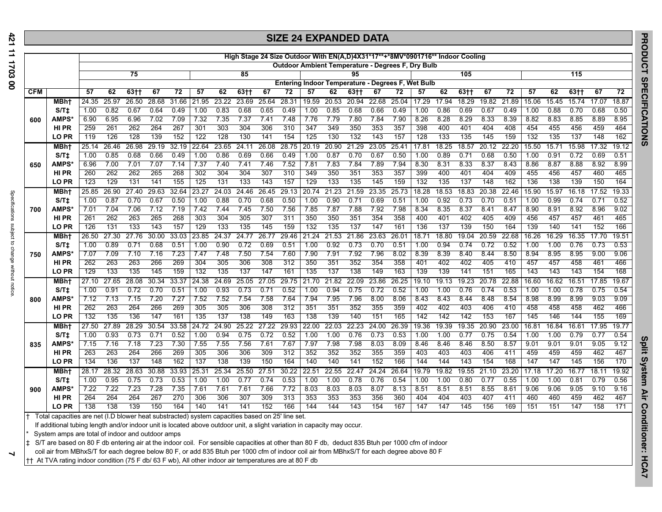|            |                           |             |             |             |             |             |             |             |             |             | SIZE 24 EXPANDED DATA |            |             |             |             |                                                                                |            |             |             |             |             |            |             |             |             |             |
|------------|---------------------------|-------------|-------------|-------------|-------------|-------------|-------------|-------------|-------------|-------------|-----------------------|------------|-------------|-------------|-------------|--------------------------------------------------------------------------------|------------|-------------|-------------|-------------|-------------|------------|-------------|-------------|-------------|-------------|
|            |                           |             |             |             |             |             |             |             |             |             |                       |            |             |             |             | High Stage 24 Size Outdoor With EN(A,D)4X31*17**+*8MV*0901716** Indoor Cooling |            |             |             |             |             |            |             |             |             |             |
|            |                           |             |             |             |             |             |             |             |             |             |                       |            |             |             |             | Outdoor Ambient Temperature - Degrees F, Dry Bulb                              |            |             |             |             |             |            |             |             |             |             |
|            |                           |             |             | 75          |             |             |             |             | 85          |             |                       |            |             | 95          |             |                                                                                |            |             | 105         |             |             |            |             | 115         |             |             |
|            |                           |             |             |             |             |             |             |             |             |             |                       |            |             |             |             | Entering Indoor Temperature - Degrees F, Wet Bulb                              |            |             |             |             |             |            |             |             |             |             |
| <b>CFM</b> |                           | 57          | 62          | 63††        | 67          | 72          | 57          | 62          | 63+1        | 67          | 72                    | 57         | 62          | 63††        | 67          | 72                                                                             | 57         | 62          | $63+1$      | 67          | 72          | 57         | 62          | $63 + 1$    | 67          | 72          |
|            | <b>MBht</b>               | 24.35       | 25.97       | 26.50       | 28.68       | 31.66       | 21.95       | 23.22       | 23.69       | 25.64       | 28.31                 | 19.59      | 20.53       | 20.94       | 22.68       | 25.04                                                                          | 17.29      | 17.94       | 18.29       | 19.82       | 21.89       | 15.06      | 15.45       | 15.74       | 17.07       | 18.87       |
|            | S/T <sub>1</sub>          | 1.00        | 0.82        | 0.67        | 0.64        | 0.49        | 1.00        | 0.83        | 0.68        | 0.65        | 0.49                  | 1.00       | 0.85        | 0.68        | 0.66        | 0.49                                                                           | 1.00       | 0.86        | 0.69        | 0.67        | 0.49        | 1.00       | 0.88        | 0.70        | 0.68        | 0.50        |
| 600        | <b>AMPS</b>               | 6.90        | 6.95        | 6.96        | 7.02        | 7.09        | 7.32        | 7.35        | 7.37        | 7.41        | 7.48                  | 7.76       | 7.79        | 7.80        | 7.84        | 7.90                                                                           | 8.26       | 8.28        | 8.29        | 8.33        | 8.39        | 8.82       | 8.83        | 8.85        | 8.89        | 8.95        |
|            | <b>HIPR</b>               | 259         | 261         | 262         | 264         | 267         | 301         | 303         | 304         | 306         | 310                   | 347        | 349         | 350         | 353         | 357                                                                            | 398        | 400         | 401         | 404         | 408         | 454        | 455         | 456         | 459         | 464         |
|            | <b>LOPR</b>               | 119         | 126         | 128         | 139         | 152         | 122         | 128         | 130         | 141         | 154                   | 125        | 130         | 132         | 143         | 157                                                                            | 128        | 133         | 135         | 145         | 159         | 132        | 135         | 137         | 148         | 162         |
|            | <b>MBht</b>               | 25.14       | 26.46       | 26.98       | 29.19       | 32.19       | 22.64       | 23.65       | 24.11       | 26.08       | 28.75                 | 20.19      | 20.90       | 21.29       | 23.05       | 25.41                                                                          | 17.81      | 18.25       | 18.57       | 20.12       | 22.20       | 15.50      | 15.71       | 15.98       | 17.32       | 19.12       |
|            | S/T <sub>1</sub>          | 1.00        | 0.85        | 0.68        | 0.66        | 0.49        | 1.00        | 0.86        | 0.69        | 0.66        | 0.49                  | 1.00       | 0.87        | 0.70        | 0.67        | 0.50                                                                           | 1.00       | 0.89        | 0.71        | 0.68        | 0.50        | 1.00       | 0.91        | 0.72        | 0.69        | 0.51        |
| 650        | <b>AMPS</b>               | 6.96        | 7.00        | 7.01        | 7.07        | 7.14        | 7.37        | 7.40        | 7.41        | 7.46        | 7.52                  | 7.81       | 7.83        | 7.84        | 7.89        | 7.94                                                                           | 8.30       | 8.31        | 8.33        | 8.37        | 8.43        | 8.86       | 8.87        | 8.88        | 8.92        | 8.99        |
|            | <b>HIPR</b>               | 260         | 262         | 262         | 265         | 268         | 302         | 304         | 304         | 307         | 310                   | 349        | 350         | 351         | 353         | 357                                                                            | 399        | 400         | 401         | 404         | 409         | 455        | 456         | 457         | 460         | 465         |
|            | <b>LOPR</b>               | 123         | 129         | 131         | 141         | 155         | 125         | 131         | 133         | 143         | 157                   | 129        | 133         | 135         | 145         | 159                                                                            | 132        | 135         | 137         | 148         | 162         | 136        | 138         | 139         | 150         | 164         |
|            | MBht                      | 25.85       | 26.90       | 27.40       | 29.63       | 32.64       | 23.27       | 24.03       | 24.46       | 26.45       | 29.13                 | 20.74      | 21.23       | 21.59       | 23.35       | 25.73                                                                          | 18.28      | 18.53       | 18.83       | 20.38       | 22.46       | 15.90      | 15.97       | 16.18       | 17.52       | 19.33       |
|            | S/Tt                      | 1.00        | 0.87        | 0.70        | 0.67        | 0.50        | 1.00        | 0.88        | 0.70        | 0.68        | 0.50                  | 1.00       | 0.90        | 0.71        | 0.69        | 0.51                                                                           | 1.00       | 0.92        | 0.73        | 0.70        | 0.51        | 1.00       | 0.99        | 0.74        | 0.71        | 0.52        |
| 700        | <b>AMPS</b>               | 7.01<br>261 | 7.04<br>262 | 7.06<br>263 | 7.12<br>265 | 7.19<br>268 | 7.42<br>303 | 7.44<br>304 | 7.45<br>305 | 7.50<br>307 | 7.56<br>311           | 7.85       | 7.87<br>350 | 7.88<br>351 | 7.92<br>354 | 7.98<br>358                                                                    | 8.34       | 8.35<br>401 | 8.37<br>402 | 8.41<br>405 | 8.47<br>409 | 8.90       | 8.91<br>457 | 8.92<br>457 | 8.96<br>461 | 9.02<br>465 |
|            | HI PR<br>LO <sub>PR</sub> | 126         | 131         | 133         | 143         | 157         | 129         | 133         | 135         | 145         | 159                   | 350<br>132 | 135         | 137         | 147         | 161                                                                            | 400<br>136 | 137         | 139         | 150         | 164         | 456<br>139 | 140         | 141         | 152         | 166         |
|            | <b>MBht</b>               | 26.50       | 27.30       | 27.76       | 30.00       | 33.03       | 23.85       | 24.37       | 24.77       | 26.77       | 29.46                 | 21.24      | 21.53       | 21.86       | 23.63       | 26.01                                                                          | 18.71      | 18.80       | 19.04       | 20.59       | 22.68       | 16.26      | 16.29       | 16.35       | 17.70       | 19.51       |
|            | S/Tt                      | 1.00        | 0.89        | 0.71        | 0.68        | 0.51        | 1.00        | 0.90        | 0.72        | 0.69        | 0.51                  | 1.00       | 0.92        | 0.73        | 0.70        | 0.51                                                                           | 1.00       | 0.94        | 0.74        | 0.72        | 0.52        | 1.00       | 1.00        | 0.76        | 0.73        | 0.53        |
| 750        | <b>AMPS</b>               | 7.07        | 7.09        | 7.10        | 7.16        | 7.23        | 7.47        | 7.48        | 7.50        | 7.54        | 7.60                  | 7.90       | 7.91        | 7.92        | 7.96        | 8.02                                                                           | 8.39       | 8.39        | 8.40        | 8.44        | 8.50        | 8.94       | 8.95        | 8.95        | 9.00        | 9.06        |
|            | <b>HIPR</b>               | 262         | 263         | 263         | 266         | 269         | 304         | 305         | 306         | 308         | 312                   | 350        | 351         | 352         | 354         | 358                                                                            | 401        | 402         | 402         | 405         | 410         | 457        | 457         | 458         | 461         | 466         |
|            | <b>LOPR</b>               | 129         | 133         | 135         | 145         | 159         | 132         | 135         | 137         | 147         | 161                   | 135        | 137         | 138         | 149         | 163                                                                            | 139        | 139         | 141         | 151         | 165         | 143        | 143         | 143         | 154         | 168         |
|            | <b>MBht</b>               | 27.10       | 27.65       | 28.08       | 30.34       | 33.37       | 24.38       | 24.69       | 25.05       | 27.05       | 29.75                 | 21.70      | 21.82       | 22.09       | 23.86       | 26.25                                                                          | 19.10      | 19.13       | 19.23       | 20.78       | 22.88       | 16.60      | 16.62       | 16.51       | 17.85       | 19.67       |
|            | S/Tt                      | 1.00        | 0.91        | 0.72        | 0.70        | 0.51        | 1.00        | 0.93        | 0.73        | 0.71        | 0.52                  | 1.00       | 0.94        | 0.75        | 0.72        | 0.52                                                                           | 1.00       | 1.00        | 0.76        | 0.74        | 0.53        | 1.00       | 1.00        | 0.78        | 0.75        | 0.54        |
| 800        | <b>AMPS</b>               | 7.12        | 7.13        | 7.15        | 7.20        | 7.27        | 7.52        | 7.52        | 7.54        | 7.58        | 7.64                  | 7.94       | 7.95        | 7.96        | 8.00        | 8.06                                                                           | 8.43       | 8.43        | 8.44        | 8.48        | 8.54        | 8.98       | 8.99        | 8.99        | 9.03        | 9.09        |
|            | HI PR                     | 262         | 263         | 264         | 266         | 269         | 305         | 305         | 306         | 308         | 312                   | 351        | 351         | 352         | 355         | 359                                                                            | 402        | 402         | 403         | 406         | 410         | 458        | 458         | 458         | 462         | 466         |
|            | <b>LOPR</b>               | 132         | 135         | 136         | 147         | 161         | 135         | 137         | 138         | 149         | 163                   | 138        | 139         | 140         | 151         | 165                                                                            | 142        | 142         | 142         | 153         | 167         | 145        | 146         | 144         | 155         | 169         |
|            | <b>MBht</b>               | 27.50       | 27.89       | 28.29       | 30.54       | 33.58       | 24.72       | 24.90       | 25.22       | 27.22       | 29.93                 | 22.00      | 22.03       | 22.23       | 24.00       | 26.39                                                                          | 19.36      | 19.39       | 19.35       | 20.90       | 23.00       | 16.81      | 16.84       | 16.61       | 17.95       | 19.77       |
|            | S/Tt                      | 1.00        | 0.93        | 0.73        | 0.71        | 0.52        | 1.00        | 0.94        | 0.75        | 0.72        | 0.52                  | 1.00       | 1.00        | 0.76        | 0.73        | 0.53                                                                           | 1.00       | 1.00        | 0.77        | 0.75        | 0.54        | 1.00       | 1.00        | 0.79        | 0.77        | 0.54        |
| 835        | AMPS'                     | 7.15        | 7.16        | 7.18        | 7.23        | 7.30        | 7.55        | 7.55        | 7.56        | 7.61        | 7.67                  | 7.97       | 7.98        | 7.98        | 8.03        | 8.09                                                                           | 8.46       | 8.46        | 8.46        | 8.50        | 8.57        | 9.01       | 9.01        | 9.01        | 9.05        | 9.12        |
|            | <b>HIPR</b>               | 263         | 263         | 264         | 266         | 269         | 305         | 306         | 306         | 309         | 312                   | 352        | 352         | 352         | 355         | 359                                                                            | 403        | 403         | 403         | 406         | 411         | 459        | 459         | 459         | 462         | 467         |
|            | <b>LOPR</b>               | 134         | 136         | 137         | 148         | 162         | 137         | 138         | 139         | 150         | 164                   | 140        | 140         | 141         | 152         | 166                                                                            | 144        | 144         | 143         | 154         | 168         | 147        | 147         | 145         | 156         | 170         |
|            | <b>MBht</b>               | 28.17       | 28.32       | 28.63       | 30.88       | 33.93       | 25.31       | 25.34       | 25.50       | 27.51       | 30.22                 | 22.51      | 22.55       | 22.47       | 24.24       | 26.64                                                                          | 19.79      | 19.82       | 19.55       | 21.10       | 23.20       | 17.18      | 17.20       | 16.77       | 18.11       | 19.92       |
|            | S/T <sub>1</sub>          | 1.00        | 0.95        | 0.75        | 0.73        | 0.53        | 1.00        | 1.00        | 0.77        | 0.74        | 0.53                  | 1.00       | 1.00        | 0.78        | 0.76        | 0.54                                                                           | 1.00       | 1.00        | 0.80        | 0.77        | 0.55        | 1.00       | 1.00        | 0.81        | 0.79        | 0.56        |
| 900        | AMPS'                     | 7.22        | 7.22        | 7.23        | 7.28        | 7.35        | 7.61        | 7.61        | 7.61        | 7.66        | 7.72                  | 8.03       | 8.03        | 8.03        | 8.07        | 8.13                                                                           | 8.51       | 8.51        | 8.51        | 8.55        | 8.61        | 9.06       | 9.06        | 9.05        | 9.10        | 9.16        |
|            | <b>HIPR</b>               | 264         | 264         | 264         | 267         | 270         | 306         | 306         | 307         | 309         | 313                   | 353        | 353         | 353         | 356         | 360                                                                            | 404        | 404         | 403         | 407         | 411         | 460        | 460         | 459         | 462         | 467         |
|            | LO PR                     | 138         | 138         | 139         | 150         | 164         | 140         | 141         | 141         | 152         | 166                   | 144        | 144         | 143         | 154         | 167                                                                            | 147        | 147         | 145         | 156         | 169         | 151        | 151         | 147         | 158         | 171         |

† Total capacities are net (I.D blower heat substracted) system capacities based on 25' line set.

If additional tubing length and/or indoor unit is located above outdoor unit, a slight variation in capacity may occur.

System amps are total of indoor and outdoor amps

‡ S/T are based on 80 F db entering air at the indoor coil. For sensible capacities at other than 80 F db, deduct 835 Btuh per 1000 cfm of indoor

coil air from MBhxS/T for each degree below 80 F, or add 835 Btuh per 1000 cfm of indoor coil air from MBhxS/T for each degree above 80 F

†† At TVA rating indoor condition (75 F db/ 63 F wb), All other indoor air temperatures are at 80 F db

 $\overline{\phantom{0}}$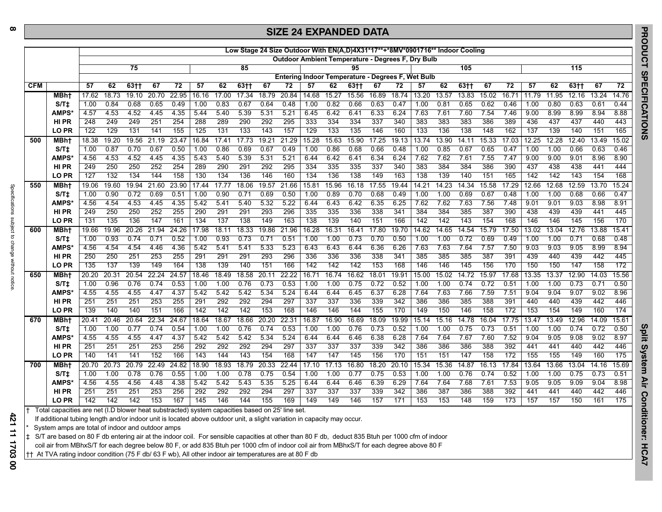# **SIZE 24 EXPANDED DATA**

|     |                                  |             |              |                 |               |              |              |              |              |              |              |              |              |              |               | Low Stage 24 Size Outdoor With EN(A,D)4X31*17**+*8MV*0901716** Indoor Cooling |              |              |              |               |               |              |              |              |               |              |
|-----|----------------------------------|-------------|--------------|-----------------|---------------|--------------|--------------|--------------|--------------|--------------|--------------|--------------|--------------|--------------|---------------|-------------------------------------------------------------------------------|--------------|--------------|--------------|---------------|---------------|--------------|--------------|--------------|---------------|--------------|
|     |                                  |             |              |                 |               |              |              |              |              |              |              |              |              |              |               | <b>Outdoor Ambient Temperature - Degrees F, Dry Bulb</b>                      |              |              |              |               |               |              |              |              |               |              |
|     |                                  |             |              | $\overline{75}$ |               |              |              |              | 85           |              |              |              |              | 95           |               |                                                                               |              |              | 105          |               |               |              |              | 115          |               |              |
|     |                                  |             |              |                 |               |              |              |              |              |              |              |              |              |              |               | Entering Indoor Temperature - Degrees F, Wet Bulb                             |              |              |              |               |               |              |              |              |               |              |
| CFM |                                  | 57          | 62           | $63+$           | 67            | 72           | 57           | 62           | $63+$        | 67           | 72           | 57           | 62           | 63++         | 67            | 72                                                                            | 57           | 62           | $63+$        | 67            | 72            | 57           | 62           | $63+1$       | 67            | 72           |
|     | MBht                             | 17.62       | 18.73        | 19.10           | 20.70         | 22.95        | 16.16        | 17.00        | 17.34        | 18.79        | 20.84        | 14.68        | 15.27        | 15.56        | 16.89         | 18.74                                                                         | 13.20        | 13.57        | 13.83        | 15.02         | 16.71         | 11.79        | 11.95        | 12.16        | 13.24         | 14.76        |
|     | S/Tt                             | 1.00        | 0.84<br>4.53 | 0.68<br>4.52    | 0.65          | 0.49<br>4.35 | 1.00         | 0.83         | 0.67<br>5.39 | 0.64<br>5.31 | 0.48<br>5.21 | 1.00         | 0.82<br>6.42 | 0.66<br>6.41 | 0.63<br>6.33  | 0.47                                                                          | 1.00         | 0.81         | 0.65<br>7.60 | 0.62<br>7.54  | 0.46          | 1.00         | 0.80<br>8.99 | 0.63<br>8.99 | 0.61<br>8.94  | 0.44<br>8.88 |
|     | <b>AMPS'</b><br><b>HIPR</b>      | 4.57<br>248 | 249          | 249             | 4.45<br>251   | 254          | 5.44<br>288  | 5.40<br>289  | 290          | 292          | 295          | 6.45<br>333  | 334          | 334          | 337           | 6.24<br>340                                                                   | 7.63<br>383  | 7.61<br>383  | 383          | 386           | 7.46<br>389   | 9.00<br>436  | 437          | 437          | 440           | 443          |
|     | <b>LOPR</b>                      | 122         | 129          | 131             | 141           | 155          | 125          | 131          | 133          | 143          | 157          | 129          | 133          | 135          | 146           | 160                                                                           | 133          | 136          | 138          | 148           | 162           | 137          | 139          | 140          | 151           | 165          |
| 500 | <b>MBht</b>                      | 18.38       | 19.20        | 19.56           | 21.19         | 23.47        | 16.84        | 17.41        | 17.73        | 19.21        | 21.29        | 15.28        | 15.63        | 15.90        | 17.25         | 19.13                                                                         | 13.74        | 13.90        | 14.11        | 15.33         | 17.03         | 12.25        | 12.28        | 12.40        | 13.49         | 15.02        |
|     | S/Tt                             | 1.00        | 0.87         | 0.70            | 0.67          | 0.50         | 1.00         | 0.86         | 0.69         | 0.67         | 0.49         | 1.00         | 0.86         | 0.68         | 0.66          | 0.48                                                                          | 1.00         | 0.85         | 0.67         | 0.65          | 0.47          | 1.00         | 1.00         | 0.66         | 0.63          | 0.46         |
|     | <b>AMPS'</b>                     | 4.56        | 4.53         | 4.52            | 4.45          | 4.35         | 5.43         | 5.40         | 5.39         | 5.31         | 5.21         | 6.44         | 6.42         | 6.41         | 6.34          | 6.24                                                                          | 7.62         | 7.62         | 7.61         | 7.55          | 7.47          | 9.00         | 9.00         | 9.01         | 8.96          | 8.90         |
|     | HI PR                            | 249         | 250          | 250             | 252           | 254          | 289          | 290          | 291          | 292          | 295          | 334          | 335          | 335          | 337           | 340                                                                           | 383          | 384          | 384          | 386           | 390           | 437          | 438          | 438          | 441           | 444          |
|     | LO PR                            | 127         | 132          | 134             | 144           | 158          | 130          | 134          | 136          | 146          | 160          | 134          | 136          | 138          | 149           | 163                                                                           | 138          | 139          | 140          | 151           | 165           | 142          | 142          | 143          | 154           | 168          |
| 550 | <b>MBht</b>                      | 19.06       | 19.60        | 19.94           | 21.60         | 23.90        | 17.44        | 17.77        | 18.06        | 19.57        | 21.66        | 15.81        | 15.96        | 16.18        | 17.55         | 19.44                                                                         | 14.21        | 14.23        | 14.34        | 15.58         | 17.29         | 12.66        | 12.68        | 12.59        | 13.70         | 15.24        |
|     | S/T <sub>1</sub>                 | 1.00        | 0.90         | 0.72            | 0.69          | 0.51         | 1.00         | 0.90         | 0.71         | 0.69         | 0.50         | 1.00         | 0.89         | 0.70         | 0.68          | 0.49                                                                          | 1.00         | 1.00         | 0.69         | 0.67          | 0.48          | 1.00         | 1.00         | 0.68         | 0.66          | 0.47         |
|     | <b>AMPS*</b>                     | 4.56        | 4.54         | 4.53            | 4.45          | 4.35         | 5.42         | 5.41         | 5.40         | 5.32         | 5.22         | 6.44         | 6.43         | 6.42         | 6.35          | 6.25                                                                          | 7.62         | 7.62         | 7.63         | 7.56          | 7.48          | 9.01         | 9.01         | 9.03         | 8.98          | 8.91         |
|     | <b>HIPR</b>                      | 249         | 250          | 250             | 252           | 255          | 290          | 291          | 291          | 293          | 296          | 335          | 335          | 336          | 338           | 341                                                                           | 384          | 384          | 385          | 387           | 390           | 438          | 439          | 439          | 441           | 445          |
|     | LO PR                            | 131         | 135          | 136             | 147           | 161          | 134          | 137          | 138          | 149          | 163          | 138          | 139          | 140          | 151           | 166                                                                           | 142          | 142          | 143          | 154           | 168           | 146          | 146          | 145          | 156           | 170          |
| 600 | <b>MBht</b>                      | 19.66       | 19.96        | 20.26           | 21.94         | 24.26        | 17.98        | 18.11        | 18.33        | 19.86        | 21.96        | 16.28        | 16.31        | 16.41        | 17.80         | 19.70                                                                         | 14.62        | 14.65        | 14.54        | 15.79         | 17.50         | 13.02        | 13.04        | 12.76        | 13.88         | 15.41        |
|     | S/T <sub>1</sub>                 | 1.00        | 0.93         | 0.74            | 0.71          | 0.52         | 1.00         | 0.93         | 0.73         | 0.71         | 0.51         | 1.00         | 1.00         | 0.73         | 0.70          | 0.50                                                                          | 1.00         | 1.00         | 0.72         | 0.69          | 0.49          | 1.00         | 1.00         | 0.71         | 0.68          | 0.48         |
|     | <b>AMPS'</b>                     | 4.56        | 4.54         | 4.54            | 4.46          | 4.36         | 5.42         | 5.41         | 5.41         | 5.33         | 5.23         | 6.43         | 6.43         | 6.44         | 6.36          | 6.26                                                                          | 7.63         | 7.63         | 7.64         | 7.57          | 7.50          | 9.03         | 9.03         | 9.05         | 8.99          | 8.94         |
|     | <b>HIPR</b>                      | 250         | 250          | 251             | 253           | 255          | 291          | 291          | 291          | 293          | 296          | 336          | 336          | 336          | 338           | 341                                                                           | 385          | 385          | 385          | 387           | 391           | 439          | 440          | 439          | 442           | 445          |
|     | LO PR                            | 135         | 137          | 139             | 149           | 164          | 138          | 139          | 140          | 151          | 166          | 142          | 142          | 142          | 153           | 168                                                                           | 146          | 146          | 145          | 156           | 170           | 150          | 150          | 147          | 158           | 172          |
| 650 | <b>MBht</b>                      | 20.20       | 20.31        | 20.54           | 22.24         | 24.57        | 18.46        | 18.49        | 18.58        | 20.11        | 22.22        | 16.71        | 16.74        | 16.62        | 18.01         | 19.91                                                                         | 15.00        | 15.02        | 14.72        | 15.97         | 17.68         | 13.35        | 13.37        | 12.90        | 14.03         | 15.56        |
|     | S/Tt                             | 1.00        | 0.96         | 0.76            | 0.74          | 0.53         | 1.00         | 1.00         | 0.76         | 0.73         | 0.53         | 1.00         | 1.00         | 0.75         | 0.72          | 0.52                                                                          | 1.00         | 1.00         | 0.74         | 0.72          | 0.51          | 1.00         | 1.00         | 0.73         | 0.71          | 0.50         |
|     | <b>AMPS'</b>                     | 4.55        | 4.55         | 4.55            | 4.47          | 4.37         | 5.42         | 5.42         | 5.42         | 5.34         | 5.24         | 6.44         | 6.44         | 6.45         | 6.37          | 6.28                                                                          | 7.64         | 7.63         | 7.66         | 7.59          | 7.51          | 9.04         | 9.04         | 9.07         | 9.02          | 8.96         |
|     | <b>HIPR</b>                      | 251         | 251          | 251             | 253           | 255          | 291          | 292          | 292          | 294          | 297          | 337          | 337          | 336          | 339           | 342                                                                           | 386          | 386          | 385          | 388           | 391           | 440          | 440          | 439          | 442           | 446          |
|     | <b>LO PR</b>                     | 139         | 140          | 140             | 151           | 166          | 142          | 142          | 142          | 153          | 168          | 146          | 146          | 144          | 155           | 170                                                                           | 149          | 150          | 146          | 158           | 172           | 153          | 154          | 149          | 160           | 174          |
| 670 | <b>MBht</b>                      | 20.41       | 20.46        | 20.64           | 22.34         | 24.67        | 18.64        | 18.67        | 18.66        | 20.20        | 22.31        | 16.87        | 16.90        | 16.69        | 18.09         | 19.99                                                                         | 15.14        | 15.16        | 14.78        | 16.04         | 17.75         | 13.47        | 13.49        | 12.96        | 14.09         | 15.61        |
|     | S/T <sub>1</sub>                 | 1.00        | 1.00         | 0.77            | 0.74          | 0.54         | 1.00         | 1.00         | 0.76         | 0.74         | 0.53         | 1.00         | 1.00         | 0.76         | 0.73          | 0.52                                                                          | 1.00         | 1.00         | 0.75         | 0.73          | 0.51          | 1.00         | 1.00         | 0.74         | 0.72          | 0.50         |
|     | <b>AMPS*</b>                     | 4.55        | 4.55         | 4.55            | 4.47          | 4.37         | 5.42         | 5.42         | 5.42         | 5.34         | 5.24         | 6.44         | 6.44         | 6.46         | 6.38          | 6.28                                                                          | 7.64         | 7.64         | 7.67         | 7.60          | 7.52          | 9.04         | 9.05         | 9.08         | 9.02          | 8.97         |
|     | <b>HIPR</b>                      | 251         | 251          | 251             | 253           | 256          | 292          | 292          | 292          | 294          | 297          | 337          | 337          | 337          | 339           | 342                                                                           | 386          | 386          | 386          | 388           | 392           | 441          | 441          | 440          | 442           | 446          |
|     | <b>LO PR</b>                     | 140         | 141          | 141             | 152           | 166          | 143          | 144          | 143          | 154          | 168          | 147          | 147          | 145          | 156           | 170                                                                           | 151          | 151          | 147          | 158           | 172           | 155          | 155          | 149          | 160           | 175          |
| 700 | MBht                             | 20.70       | 20.73        | 20.79<br>0.78   | 22.49<br>0.76 | 24.82        | 18.90        | 18.93        | 18.79        | 20.33        | 22.44        | 17.10        | 17.13        | 16.80        | 18.20<br>0.75 | 20.10<br>0.53                                                                 | 15.34        | 15.36        | 14.87        | 16.13<br>0.74 | 17.84<br>0.52 | 13.64        | 13.66        | 13.04        | 14.16<br>0.73 | 15.69        |
|     | S/T <sub>1</sub><br><b>AMPS*</b> | 1.00        | 1.00<br>4.55 | 4.56            | 4.48          | 0.55<br>4.38 | 1.00<br>5.42 | 1.00<br>5.42 | 0.78<br>5.43 | 0.75<br>5.35 | 0.54<br>5.25 | 1.00<br>6.44 | 1.00<br>6.44 | 0.77<br>6.46 | 6.39          | 6.29                                                                          | 1.00<br>7.64 | 1.00<br>7.64 | 0.76<br>7.68 | 7.61          | 7.53          | 1.00<br>9.05 | 1.00<br>9.05 | 0.75<br>9.09 | 9.04          | 0.51<br>8.98 |
|     | HI PR                            | 4.56<br>251 | 251          | 251             | 253           | 256          | 292          | 292          | 292          | 294          | 297          | 337          | 337          | 337          | 339           | 342                                                                           | 386          | 387          | 386          | 388           | 392           | 441          | 441          | 440          | 442           | 446          |
|     | LO PR                            | 142         | 142          | 142             | 153           | 167          | 145          | 146          | 144          | 155          | 169          | 149          | 149          | 146          | 157           | 171                                                                           | 153          | 153          | 148          | 159           | 173           | 157          | 157          | 150          | 161           | 175          |
|     |                                  |             |              |                 |               |              |              |              |              |              |              |              |              |              |               |                                                                               |              |              |              |               |               |              |              |              |               |              |

† Total capacities are net (I.D blower heat substracted) system capacities based on 25' line set.

If additional tubing length and/or indoor unit is located above outdoor unit, a slight variation in capacity may occur.

System amps are total of indoor and outdoor amps

 $\vert$   $\downarrow$  S/T are based on 80 F db entering air at the indoor coil. For sensible capacities at other than 80 F db, deduct 835 Btuh per 1000 cfm of indoor

coil air from MBhxS/T for each degree below 80 F, or add 835 Btuh per 1000 cfm of indoor coil air from MBhxS/T for each degree above 80 F

†† At TVA rating indoor condition (75 F db/ 63 F wb), All other indoor air temperatures are at 80 F db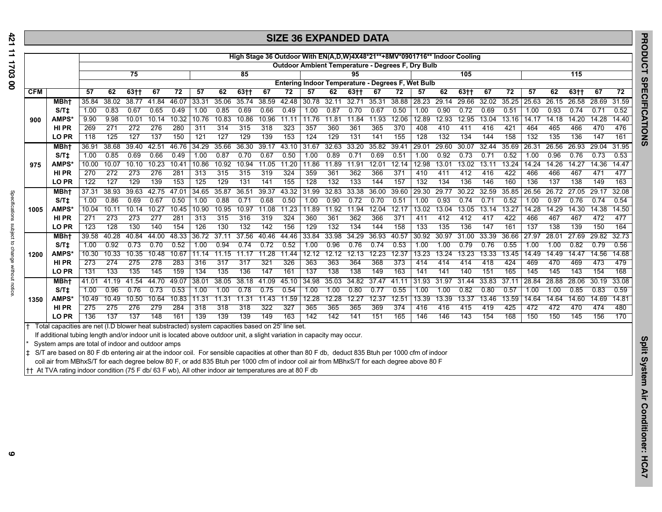|            |                                                                                                 |               |               |               |               |               |               |               |               |                  | <b>SIZE 36 EXPANDED DATA</b> |               |               |               |               |                                                                                                                                        |                    |               |               |               |               |               |               |                    |               |                 |
|------------|-------------------------------------------------------------------------------------------------|---------------|---------------|---------------|---------------|---------------|---------------|---------------|---------------|------------------|------------------------------|---------------|---------------|---------------|---------------|----------------------------------------------------------------------------------------------------------------------------------------|--------------------|---------------|---------------|---------------|---------------|---------------|---------------|--------------------|---------------|-----------------|
|            |                                                                                                 |               |               |               |               |               |               |               |               |                  |                              |               |               |               |               |                                                                                                                                        |                    |               |               |               |               |               |               |                    |               |                 |
|            |                                                                                                 |               |               |               |               |               |               |               |               |                  |                              |               |               |               |               | High Stage 36 Outdoor With EN(A,D,W)4X48*21**+8MV*0901716** Indoor Cooling<br><b>Outdoor Ambient Temperature - Degrees F, Dry Bulb</b> |                    |               |               |               |               |               |               |                    |               |                 |
|            |                                                                                                 |               |               | 75            |               |               |               |               | 85            |                  |                              |               |               | 95            |               |                                                                                                                                        |                    |               | 105           |               |               |               |               | 115                |               |                 |
|            |                                                                                                 |               |               |               |               |               |               |               |               |                  |                              |               |               |               |               | Entering Indoor Temperature - Degrees F, Wet Bulb                                                                                      |                    |               |               |               |               |               |               |                    |               |                 |
| <b>CFM</b> |                                                                                                 | 57            | 62            | $63 + 1$      | 67            | 72            | 57            | 62            | $63+$         | 67               | 72                           | 57            | 62            | $63+$         | 67            | 72                                                                                                                                     | 57                 | 62            | $63+$         | 67            | 72            | 57            | 62            | $63 + 1$           | 67            | $\overline{72}$ |
|            | <b>MBht</b>                                                                                     | 35.84         | 38.02         | 38.77         | 41.84         | 46.07         | 33.31         | 35.06         | 35.74         | 38.59            | 42.48                        | 30.78         | 32.11         | 32.71         | 35.31         | 38.88                                                                                                                                  | 28.23              | 29.14         | 29.66         | 32.02         | 35.25         | 25.63         | 26.15         | $\overline{26.58}$ | 28.69         | 31.59           |
|            | S/Tt                                                                                            | 1.00          | 0.83          | 0.67          | 0.65          | 0.49          | 1.00          | 0.85          | 0.69          | 0.66             | 0.49                         | 1.00          | 0.87          | 0.70          | 0.67          | 0.50                                                                                                                                   | 1.00               | 0.90          | 0.72          | 0.69          | 0.51          | 1.00          | 0.93          | 0.74               | 0.71          | 0.52            |
| 900        | <b>AMPS*</b>                                                                                    | 9.90          | 9.98          | 10.01         | 10.14         | 10.32         | 10.76         | 10.83         | 10.86         | 10.96            | 11.11                        | 11.76         | 11.81         | 11.84         | 11.93         | 12.06                                                                                                                                  | 12.89              | 12.93         | 12.95         | 13.04         | 13.16         | 14.17         | 14.18         | 14.20              | 14.28         | 14.40           |
|            | HI PR                                                                                           | 269           | 271           | 272           | 276           | 280           | 311           | 314           | 315           | 318              | 323                          | 357           | 360           | 361           | 365           | 370                                                                                                                                    | 408                | 410           | 411           | 416           | 421           | 464           | 465           | 466                | 470           | 476             |
|            | LO PR                                                                                           | 118           | 125           | 127           | 137           | 150           | 121           | 127           | 129           | 139              | 153                          | 124           | 129           | 131           | 141           | 155                                                                                                                                    | 128                | 132           | 134           | 144           | 158           | 132           | 135           | 136                | 147           | 161             |
|            | <b>MBht</b>                                                                                     | 36.91         | 38.68         | 39.40         | 42.51         | 46.76         | 34.29         | 35.66         | 36.30         | 39.17            | 43.10                        | 31.67         | 32.63         | 33.20         | 35.82         | 39.41                                                                                                                                  | 29.01              | 29.60         | 30.07         | 32.44         | 35.69         | 26.31         | 26.56         | 26.93              | 29.04         | 31.95           |
|            | S/T <sub>1</sub>                                                                                | 1.00          | 0.85          | 0.69          | 0.66          | 0.49          | 1.00          | 0.87          | 0.70          | 0.67             | 0.50                         | 1.00          | 0.89          | 0.71          | 0.69          | 0.51                                                                                                                                   | 1.00               | 0.92          | 0.73          | 0.71          | 0.52          | 1.00          | 0.96          | 0.76               | 0.73          | 0.53            |
| 975        | <b>AMPS*</b>                                                                                    | 10.00         | 10.07         | 10.10         | 10.23         | 10.41         | 10.86         | 10.92         | 10.94         | 11.05            | 11.20                        | 11.86         | 11.89         | 11.91         | 12.01         | 12.14                                                                                                                                  | 12.98              | 13.01         | 13.02         | 13.11         | 13.24         | 14.24         | 14.26         | 14.27              | 14.36         | 14.47           |
|            | HI PR                                                                                           | 270           | 272           | 273           | 276           | 281           | 313           | 315           | 315           | 319              | 324                          | 359           | 361           | 362           | 366           | 371                                                                                                                                    | 410                | 411           | 412           | 416           | 422           | 466           | 466           | 467                | 471           | 477             |
|            | <b>LO PR</b>                                                                                    | 122           | 127           | 129           | 139           | 153           | 125           | 129           | 131           | 141              | 155                          | 128           | 132           | 133           | 144           | 157                                                                                                                                    | 132                | 134           | 136           | 146           | 160           | 136           | 137           | 138                | 149           | 163             |
|            | <b>MBht</b>                                                                                     | 37.31         | 38.93         | 39.63         | 42.75         | 47.01         | 34.65         | 35.87         | 36.51         | 39.37            | 43.32                        | 31.99         | 32.83         | 33.38         | 36.00         | 39.60                                                                                                                                  | 29.30              | 29.77         | 30.22         | 32.59         | 35.85         | 26.56         | 26.72         | 27.05              | 29.17         | 32.08           |
|            | S/Tt                                                                                            | 1.00          | 0.86          | 0.69          | 0.67          | 0.50          | 1.00          | 0.88          | 0.71          | 0.68             | 0.50                         | 1.00          | 0.90          | 0.72          | 0.70          | 0.51                                                                                                                                   | 1.00               | 0.93          | 0.74          | 0.71          | 0.52          | 1.00          | 0.97          | 0.76               | 0.74          | 0.54            |
| 1005       | <b>AMPS*</b>                                                                                    | 10.04         | 10.11         | 10.14         | 10.27         | 10.45         | 10.90         | 10.95         | 10.97         | 11.08            | 11.23                        | 11.89         | 11.92         | 11.94         | 12.04         | 12.17                                                                                                                                  | 13.02              | 13.04         | 13.05         | 13.14         | 13.27         | 14.28         | 14.29         | 14.30              | 14.38         | 14.50           |
|            | HI PR                                                                                           | 271           | 273           | 273           | 277           | 281           | 313           | 315           | 316           | 319              | 324                          | 360           | 361           | 362           | 366           | 371                                                                                                                                    | 411                | 412           | 412           | 417           | 422           | 466           | 467           | 467                | 472           | 477             |
|            | <b>LO PR</b>                                                                                    | 123           | 128           | 130           | 140           | 154           | 126           | 130           | 132           | $\overline{142}$ | 156                          | 129           | 132           | 134           | 144           | 158                                                                                                                                    | 133                | 135           | 136           | 147           | 161           | 137           | 138           | 139                | 150           | 164             |
|            | <b>MBht</b>                                                                                     | 39.58         | 40.28         | 40.84         | 44.00         | 48.33         | 36.72         | 37.11         | 37.56         | 40.46            | 44.46                        | 33.84         | 33.98         | 34.29         | 36.93         | 40.57                                                                                                                                  | $30.\overline{92}$ | 30.97         | 31.00         | 33.39         | 36.66         | 27.97         | 28.01         | 27.69              | 29.82         | 32.73           |
|            | S/Tt                                                                                            | 1.00          | 0.92          | 0.73          | 0.70          | 0.52          | 1.00          | 0.94          | 0.74          | 0.72             | 0.52                         | 1.00          | 0.96          | 0.76          | 0.74          | 0.53                                                                                                                                   | 1.00               | 1.00          | 0.79          | 0.76          | 0.55          | 1.00          | 1.00          | 0.82               | 0.79          | 0.56            |
| 1200       | <b>AMPS*</b>                                                                                    | 10.30         | 10.33         | 10.35         | 10.48         | 10.67         | 11.14         | 11.15         | 11.17         | 11.28            | 11.44                        | 12.12         | 12.12         | 12.13         | 12.23         | 12.37                                                                                                                                  | 13.23              | 13.24         | 13.23         | 13.33         | 13.45         | 14.49         | 14.49         | 14.47              | 14.56         | 14.68           |
|            | <b>HIPR</b>                                                                                     | 273           | 274           | 275           | 278           | 283           | 316           | 317           | 317           | 321              | 326                          | 363           | 363           | 364           | 368           | 373                                                                                                                                    | 414                | 414           | 414           | 418           | 424           | 469           | 470           | 469                | 473           | 479             |
|            | <b>LO PR</b>                                                                                    | 131           | 133           | 135           | 145           | 159           | 134           | 135           | 136           | 147              | 161                          | 137           | 138           | 138           | 149           | 163                                                                                                                                    | 141                | 141           | 140           | 151           | 165           | 145           | 145           | 143                | 154           | 168             |
|            | <b>MBht</b>                                                                                     | 41.01         | 41.19<br>0.96 | 41.54<br>0.76 | 44.70<br>0.73 | 49.07         | 38.01         | 38.05<br>1.00 | 38.18<br>0.78 | 41.09            | 45.10<br>0.54                | 34.98         | 35.03<br>1.00 | 34.82<br>0.80 | 37.47         | 41.11                                                                                                                                  | 31.93              | 31.97         | 31.44<br>0.82 | 33.83         | 37.11         | 28.84<br>1.00 | 28.88         | 28.06<br>0.85      | 30.19<br>0.83 | 33.08<br>0.59   |
|            | S/Tt<br><b>AMPS*</b>                                                                            | 1.00<br>10.49 | 10.49         | 10.50         | 10.64         | 0.53<br>10.83 | 1.00<br>11.31 | 11.31         | 11.31         | 0.75<br>11.43    | 11.59                        | 1.00<br>12.28 | 12.28         | 12.27         | 0.77<br>12.37 | 0.55<br>12.51                                                                                                                          | 1.00<br>13.39      | 1.00<br>13.39 | 13.37         | 0.80<br>13.46 | 0.57<br>13.59 | 14.64         | 1.00<br>14.64 | 14.60              | 14.69         | 14.81           |
| 1350       | HI PR                                                                                           | 275           | 275           | 276           | 279           | 284           | 318           | 318           | 318           | 322              | 327                          | 365           | 365           | 365           | 369           | 374                                                                                                                                    | 416                | 416           | 415           | 419           | 425           | 472           | 472           | 470                | 474           | 480             |
|            | LO PR                                                                                           | 136           | 137           | 137           | 148           | 161           | 139           | 139           | 139           | 149              | 163                          | 142           | 142           | 141           | 151           | 165                                                                                                                                    | 146                | 146           | 143           | 154           | 168           | 150           | 150           | 145                | 156           | 170             |
|            | Total capacities are net (I.D blower heat substracted) system capacities based on 25' line set. |               |               |               |               |               |               |               |               |                  |                              |               |               |               |               |                                                                                                                                        |                    |               |               |               |               |               |               |                    |               |                 |

If additional tubing length and/or indoor unit is located above outdoor unit, a slight variation in capacity may occur.

System amps are total of indoor and outdoor amps

 $\sharp$  S/T are based on 80 F db entering air at the indoor coil. For sensible capacities at other than 80 F db, deduct 835 Btuh per 1000 cfm of indoor

coil air from MBhxS/T for each degree below 80 F, or add 835 Btuh per 1000 cfm of indoor coil air from MBhxS/T for each degree above 80 F

†† At TVA rating indoor condition (75 F db/ 63 F wb), All other indoor air temperatures are at 80 F db

**PRODUCT SPECIFICATIONS**

PRODUCT SPECIFICATIONS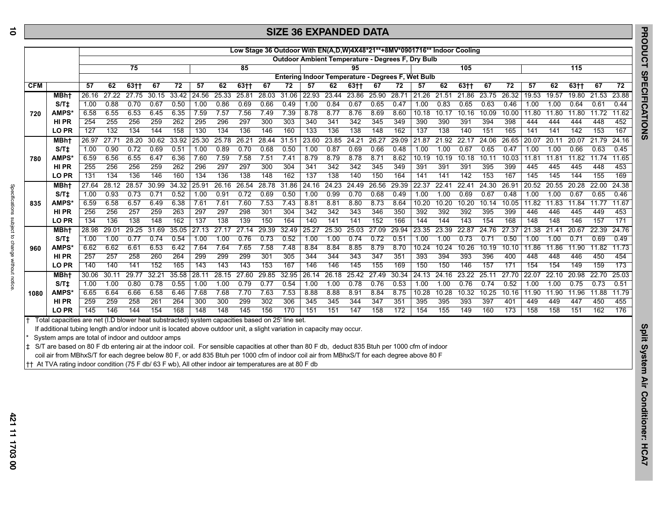# **SIZE 36 EXPANDED DATA**

| <b>Outdoor Ambient Temperature - Degrees F, Dry Bulb</b><br>75<br>85<br>105<br>115<br>95<br><b>Entering Indoor Temperature - Degrees F, Wet Bulb</b><br><b>CFM</b><br>62<br>62<br>$63+$<br>$63+$<br>67<br>57<br>$63 + 1$<br>67<br>72<br>57<br>67<br>72<br>$63+$<br>62<br>72<br>57<br>62<br>$63 + 1$<br>62<br>67<br>57<br>57<br>27.22<br>33.42<br>$28.\overline{03}$<br>22.93<br>25.90<br>23.75<br>26.16<br>27.75<br>30.15<br>24.56<br>25.33<br>25.81<br>31.06<br>23.44<br>28.71<br>21.26<br>21.51<br>21.86<br>26.32<br>19.53<br>19.57<br>19.80<br><b>MBht</b><br>23.86<br>S/T <sub>1</sub><br>0.88<br>0.50<br>0.69<br>0.66<br>0.49<br>0.84<br>0.67<br>0.65<br>0.63<br>0.46<br>1.00<br>0.70<br>0.67<br>1.00<br>0.86<br>1.00<br>0.47<br>1.00<br>0.83<br>0.65<br>1.00<br>0.64<br>1.00<br>7.39<br>8.76<br>8.69<br><b>AMPS</b><br>6.58<br>6.55<br>6.53<br>6.45<br>6.35<br>7.59<br>7.57<br>7.56<br>7.49<br>8.78<br>8.77<br>8.60<br>10.18<br>10.16<br>10.09<br>10.00<br>11.80<br>11.80<br>11.80<br>10.17<br>720<br>255<br>262<br>297<br>300<br>349<br>HI PR<br>254<br>256<br>259<br>295<br>296<br>303<br>341<br>342<br>345<br>390<br>390<br>391<br>394<br>398<br>444<br>444<br>444<br>340<br>132<br>144<br>158<br>134<br>136<br>146<br>160<br>136<br>138<br>148<br>162<br>151<br>127<br>134<br>130<br>133<br>137<br>138<br>140<br>165<br>141<br>141<br>142<br><b>LO PR</b><br>26.21<br>26.27<br>27.71<br>30.62<br>33.92<br>25.30<br>25.78<br>28.44<br>31.51<br>23.60<br>23.85<br>24.21<br>29.09<br>21.87<br>21.92<br>22.17<br>24.06<br>26.65<br>20.07<br>20.07<br><b>MBht</b><br>26.97<br>28.20<br>20.11<br>0.90<br>0.72<br>0.69<br>0.89<br>0.70<br>0.68<br>0.50<br>0.87<br>0.69<br>0.66<br>0.66<br>S/T <sub>1</sub><br>1.00<br>0.51<br>1.00<br>1.00<br>0.48<br>1.00<br>1.00<br>0.67<br>0.65<br>0.47<br>1.00<br>1.00<br><b>AMPS</b><br>6.59<br>6.56<br>6.36<br>7.60<br>7.59<br>7.58<br>7.51<br>7.41<br>8.79<br>8.78<br>8.71<br>8.62<br>10.11<br>11.81<br>11.82<br>6.55<br>6.47<br>8.79<br>10.19<br>10.19<br>10.18<br>10.03<br>11.81<br>780<br>304<br>HI PR<br>256<br>256<br>259<br>262<br>297<br>297<br>300<br>341<br>342<br>342<br>345<br>349<br>391<br>391<br>395<br>399<br>445<br>445<br>445<br>255<br>296<br>391 | $\overline{72}$<br>67<br>21.53<br>23.88<br>0.61<br>0.44<br>11.62<br>11.72<br>448<br>452<br>153<br>167<br>24.16<br>21.79<br>0.63<br>0.45<br>11.74<br>11.65 |
|---------------------------------------------------------------------------------------------------------------------------------------------------------------------------------------------------------------------------------------------------------------------------------------------------------------------------------------------------------------------------------------------------------------------------------------------------------------------------------------------------------------------------------------------------------------------------------------------------------------------------------------------------------------------------------------------------------------------------------------------------------------------------------------------------------------------------------------------------------------------------------------------------------------------------------------------------------------------------------------------------------------------------------------------------------------------------------------------------------------------------------------------------------------------------------------------------------------------------------------------------------------------------------------------------------------------------------------------------------------------------------------------------------------------------------------------------------------------------------------------------------------------------------------------------------------------------------------------------------------------------------------------------------------------------------------------------------------------------------------------------------------------------------------------------------------------------------------------------------------------------------------------------------------------------------------------------------------------------------------------------------------------------------------------------------------------------------------------------------------------------------------------------------------------------------------------------------------|-----------------------------------------------------------------------------------------------------------------------------------------------------------|
|                                                                                                                                                                                                                                                                                                                                                                                                                                                                                                                                                                                                                                                                                                                                                                                                                                                                                                                                                                                                                                                                                                                                                                                                                                                                                                                                                                                                                                                                                                                                                                                                                                                                                                                                                                                                                                                                                                                                                                                                                                                                                                                                                                                                               |                                                                                                                                                           |
|                                                                                                                                                                                                                                                                                                                                                                                                                                                                                                                                                                                                                                                                                                                                                                                                                                                                                                                                                                                                                                                                                                                                                                                                                                                                                                                                                                                                                                                                                                                                                                                                                                                                                                                                                                                                                                                                                                                                                                                                                                                                                                                                                                                                               |                                                                                                                                                           |
|                                                                                                                                                                                                                                                                                                                                                                                                                                                                                                                                                                                                                                                                                                                                                                                                                                                                                                                                                                                                                                                                                                                                                                                                                                                                                                                                                                                                                                                                                                                                                                                                                                                                                                                                                                                                                                                                                                                                                                                                                                                                                                                                                                                                               |                                                                                                                                                           |
|                                                                                                                                                                                                                                                                                                                                                                                                                                                                                                                                                                                                                                                                                                                                                                                                                                                                                                                                                                                                                                                                                                                                                                                                                                                                                                                                                                                                                                                                                                                                                                                                                                                                                                                                                                                                                                                                                                                                                                                                                                                                                                                                                                                                               |                                                                                                                                                           |
|                                                                                                                                                                                                                                                                                                                                                                                                                                                                                                                                                                                                                                                                                                                                                                                                                                                                                                                                                                                                                                                                                                                                                                                                                                                                                                                                                                                                                                                                                                                                                                                                                                                                                                                                                                                                                                                                                                                                                                                                                                                                                                                                                                                                               |                                                                                                                                                           |
|                                                                                                                                                                                                                                                                                                                                                                                                                                                                                                                                                                                                                                                                                                                                                                                                                                                                                                                                                                                                                                                                                                                                                                                                                                                                                                                                                                                                                                                                                                                                                                                                                                                                                                                                                                                                                                                                                                                                                                                                                                                                                                                                                                                                               |                                                                                                                                                           |
|                                                                                                                                                                                                                                                                                                                                                                                                                                                                                                                                                                                                                                                                                                                                                                                                                                                                                                                                                                                                                                                                                                                                                                                                                                                                                                                                                                                                                                                                                                                                                                                                                                                                                                                                                                                                                                                                                                                                                                                                                                                                                                                                                                                                               |                                                                                                                                                           |
|                                                                                                                                                                                                                                                                                                                                                                                                                                                                                                                                                                                                                                                                                                                                                                                                                                                                                                                                                                                                                                                                                                                                                                                                                                                                                                                                                                                                                                                                                                                                                                                                                                                                                                                                                                                                                                                                                                                                                                                                                                                                                                                                                                                                               |                                                                                                                                                           |
|                                                                                                                                                                                                                                                                                                                                                                                                                                                                                                                                                                                                                                                                                                                                                                                                                                                                                                                                                                                                                                                                                                                                                                                                                                                                                                                                                                                                                                                                                                                                                                                                                                                                                                                                                                                                                                                                                                                                                                                                                                                                                                                                                                                                               |                                                                                                                                                           |
|                                                                                                                                                                                                                                                                                                                                                                                                                                                                                                                                                                                                                                                                                                                                                                                                                                                                                                                                                                                                                                                                                                                                                                                                                                                                                                                                                                                                                                                                                                                                                                                                                                                                                                                                                                                                                                                                                                                                                                                                                                                                                                                                                                                                               |                                                                                                                                                           |
|                                                                                                                                                                                                                                                                                                                                                                                                                                                                                                                                                                                                                                                                                                                                                                                                                                                                                                                                                                                                                                                                                                                                                                                                                                                                                                                                                                                                                                                                                                                                                                                                                                                                                                                                                                                                                                                                                                                                                                                                                                                                                                                                                                                                               |                                                                                                                                                           |
|                                                                                                                                                                                                                                                                                                                                                                                                                                                                                                                                                                                                                                                                                                                                                                                                                                                                                                                                                                                                                                                                                                                                                                                                                                                                                                                                                                                                                                                                                                                                                                                                                                                                                                                                                                                                                                                                                                                                                                                                                                                                                                                                                                                                               |                                                                                                                                                           |
|                                                                                                                                                                                                                                                                                                                                                                                                                                                                                                                                                                                                                                                                                                                                                                                                                                                                                                                                                                                                                                                                                                                                                                                                                                                                                                                                                                                                                                                                                                                                                                                                                                                                                                                                                                                                                                                                                                                                                                                                                                                                                                                                                                                                               | 448<br>453                                                                                                                                                |
| 134<br>136<br>160<br>136<br>148<br>162<br>138<br>150<br>164<br>153<br>167<br>LO PR<br>131<br>146<br>134<br>138<br>140<br>141<br>141<br>142<br>145<br>145<br>144<br>137                                                                                                                                                                                                                                                                                                                                                                                                                                                                                                                                                                                                                                                                                                                                                                                                                                                                                                                                                                                                                                                                                                                                                                                                                                                                                                                                                                                                                                                                                                                                                                                                                                                                                                                                                                                                                                                                                                                                                                                                                                        | 155<br>169                                                                                                                                                |
| 31.86<br>26.56<br>28.12<br>30.99<br>34.32<br>25.91<br>26.16<br>26.54<br>28.78<br>24.16<br>24.23<br>24.49<br>29.39<br>22.37<br>22.41<br>22.41<br>24.30<br>26.91<br>20.52<br>20.55<br>20.28<br><b>MBht</b><br>27.64<br>28.57                                                                                                                                                                                                                                                                                                                                                                                                                                                                                                                                                                                                                                                                                                                                                                                                                                                                                                                                                                                                                                                                                                                                                                                                                                                                                                                                                                                                                                                                                                                                                                                                                                                                                                                                                                                                                                                                                                                                                                                    | 24.38<br>22.00                                                                                                                                            |
| S/Tt<br>0.93<br>0.73<br>0.71<br>0.52<br>0.91<br>0.69<br>0.50<br>0.99<br>0.70<br>0.68<br>1.00<br>0.69<br>0.67<br>0.48<br>1.00<br>0.67<br>1.00<br>1.00<br>0.72<br>1.00<br>0.49<br>1.00<br>1.00                                                                                                                                                                                                                                                                                                                                                                                                                                                                                                                                                                                                                                                                                                                                                                                                                                                                                                                                                                                                                                                                                                                                                                                                                                                                                                                                                                                                                                                                                                                                                                                                                                                                                                                                                                                                                                                                                                                                                                                                                  | 0.65<br>0.46                                                                                                                                              |
| 6.59<br>6.58<br>6.57<br>6.49<br>6.38<br>$7.6^{\circ}$<br>7.61<br>7.60<br>7.53<br>7.43<br>8.81<br>8.80<br>8.73<br>8.64<br>10.20<br>10.20<br>10.20<br>10.14<br>10.05<br>11.82<br>11.83<br><b>AMPS'</b><br>8.81<br>11.84<br>835                                                                                                                                                                                                                                                                                                                                                                                                                                                                                                                                                                                                                                                                                                                                                                                                                                                                                                                                                                                                                                                                                                                                                                                                                                                                                                                                                                                                                                                                                                                                                                                                                                                                                                                                                                                                                                                                                                                                                                                  | 11.77<br>11.67                                                                                                                                            |
| 256<br>256<br>257<br>259<br>263<br>297<br>298<br>301<br>304<br>342<br>343<br>350<br>392<br>392<br>395<br>399<br>297<br>342<br>346<br>392<br>446<br>446<br>445<br>HI PR                                                                                                                                                                                                                                                                                                                                                                                                                                                                                                                                                                                                                                                                                                                                                                                                                                                                                                                                                                                                                                                                                                                                                                                                                                                                                                                                                                                                                                                                                                                                                                                                                                                                                                                                                                                                                                                                                                                                                                                                                                        | 449<br>453                                                                                                                                                |
| 162<br>164<br>152<br>166<br>154<br>136<br>138<br>137<br>138<br>139<br>150<br>141<br>141<br>144<br>143<br>168<br>148<br>146<br>LO PR<br>134<br>148<br>140<br>144<br>148                                                                                                                                                                                                                                                                                                                                                                                                                                                                                                                                                                                                                                                                                                                                                                                                                                                                                                                                                                                                                                                                                                                                                                                                                                                                                                                                                                                                                                                                                                                                                                                                                                                                                                                                                                                                                                                                                                                                                                                                                                        | 171<br>157                                                                                                                                                |
| 35.05<br>29.39<br>32.49<br>29.94<br>29.01<br>29.25<br>31.69<br>27.14<br>25.27<br>25.30<br>25.03<br>27.09<br>23.35<br>23.39<br>22.87<br>24.76<br>27.37<br>21<br>.38<br>28.98<br>27.13<br>27.17<br>21.41<br>20.67<br><b>MBht</b>                                                                                                                                                                                                                                                                                                                                                                                                                                                                                                                                                                                                                                                                                                                                                                                                                                                                                                                                                                                                                                                                                                                                                                                                                                                                                                                                                                                                                                                                                                                                                                                                                                                                                                                                                                                                                                                                                                                                                                                | 22.39<br>24.76                                                                                                                                            |
| 0.52<br>S/Tt<br>1.00<br>0.74<br>0.54<br>0.76<br>0.73<br>1.00<br>0.74<br>0.72<br>0.51<br>1.00<br>0.71<br>0.50<br>0.77<br>1.00<br>1.00<br>1.00<br>1.00<br>0.73<br>1.00<br>1.00<br>0.7'<br>1.00                                                                                                                                                                                                                                                                                                                                                                                                                                                                                                                                                                                                                                                                                                                                                                                                                                                                                                                                                                                                                                                                                                                                                                                                                                                                                                                                                                                                                                                                                                                                                                                                                                                                                                                                                                                                                                                                                                                                                                                                                  | 0.69<br>0.49                                                                                                                                              |
| 7.48<br>8.79<br>8.70<br>10.19<br><b>AMPS</b><br>6.62<br>6.62<br>6.61<br>6.53<br>6.42<br>7.64<br>7.64<br>7.65<br>7.58<br>8.84<br>8.84<br>8.85<br>10.24<br>10.24<br>10.26<br>10.10<br>11.86<br>11.86<br>11.90<br>960                                                                                                                                                                                                                                                                                                                                                                                                                                                                                                                                                                                                                                                                                                                                                                                                                                                                                                                                                                                                                                                                                                                                                                                                                                                                                                                                                                                                                                                                                                                                                                                                                                                                                                                                                                                                                                                                                                                                                                                            | 11.82<br>11.73                                                                                                                                            |
| 260<br>305<br>396<br>257<br>257<br>258<br>264<br>299<br>299<br>299<br>301<br>344<br>344<br>343<br>347<br>351<br>393<br>394<br>393<br>400<br>448<br>448<br>446<br><b>HIPR</b>                                                                                                                                                                                                                                                                                                                                                                                                                                                                                                                                                                                                                                                                                                                                                                                                                                                                                                                                                                                                                                                                                                                                                                                                                                                                                                                                                                                                                                                                                                                                                                                                                                                                                                                                                                                                                                                                                                                                                                                                                                  | 450<br>454                                                                                                                                                |
| 140<br>141<br>152<br>165<br>143<br>143<br>153<br>167<br>146<br>155<br>169<br>150<br>146<br>157<br>171<br>154<br>149<br>LO PR<br>140<br>143<br>146<br>145<br>150<br>154                                                                                                                                                                                                                                                                                                                                                                                                                                                                                                                                                                                                                                                                                                                                                                                                                                                                                                                                                                                                                                                                                                                                                                                                                                                                                                                                                                                                                                                                                                                                                                                                                                                                                                                                                                                                                                                                                                                                                                                                                                        | 159<br>173                                                                                                                                                |
| 35.58<br>32.95<br>$32.2^{\circ}$<br>28.15<br>27.60<br>29.85<br>26.18<br>27.49<br>30.34<br>24.16<br>77.70<br>22.07<br>22.10<br><b>MBht</b><br>30.06<br>30.11<br>29.77<br>28.11<br>26.14<br>25.42<br>24.13<br>23.22<br>25.11<br>20.98                                                                                                                                                                                                                                                                                                                                                                                                                                                                                                                                                                                                                                                                                                                                                                                                                                                                                                                                                                                                                                                                                                                                                                                                                                                                                                                                                                                                                                                                                                                                                                                                                                                                                                                                                                                                                                                                                                                                                                           | 22.70<br>25.03                                                                                                                                            |
| S/T <sub>1</sub><br>0.78<br>0.54<br>0.52<br>1.00<br>0.80<br>0.55<br>1.00<br>0.79<br>1.00<br>0.78<br>0.76<br>0.53<br>1.00<br>1.00<br>0.76<br>0.74<br>1.00<br>1.00<br>0.75<br>1.00<br>1.00<br>0.77<br>1.00                                                                                                                                                                                                                                                                                                                                                                                                                                                                                                                                                                                                                                                                                                                                                                                                                                                                                                                                                                                                                                                                                                                                                                                                                                                                                                                                                                                                                                                                                                                                                                                                                                                                                                                                                                                                                                                                                                                                                                                                      | 0.73<br>0.51                                                                                                                                              |
| 8.91<br><b>AMPS</b><br>6.65<br>6.64<br>6.66<br>6.58<br>7.68<br>7.63<br>7.53<br>8.88<br>8.88<br>8.84<br>8.75<br>10.25<br>10.16<br>6.46<br>7.68<br>10.28<br>10.28<br>10.32<br>11.90<br>11.90<br>11.96<br>7.70<br>1080                                                                                                                                                                                                                                                                                                                                                                                                                                                                                                                                                                                                                                                                                                                                                                                                                                                                                                                                                                                                                                                                                                                                                                                                                                                                                                                                                                                                                                                                                                                                                                                                                                                                                                                                                                                                                                                                                                                                                                                           | 11.79<br>11.88                                                                                                                                            |
| 302<br><b>HIPR</b><br>259<br>259<br>258<br>261<br>264<br>300<br>300<br>299<br>306<br>345<br>345<br>344<br>347<br>351<br>395<br>395<br>393<br>397<br>401<br>449<br>449<br>447                                                                                                                                                                                                                                                                                                                                                                                                                                                                                                                                                                                                                                                                                                                                                                                                                                                                                                                                                                                                                                                                                                                                                                                                                                                                                                                                                                                                                                                                                                                                                                                                                                                                                                                                                                                                                                                                                                                                                                                                                                  | 450<br>455                                                                                                                                                |
| 146<br>144<br>154<br>168<br>148<br>145<br>156<br>147<br>158<br>172<br>149<br>160<br>173<br>158<br>158<br>LO PR<br>145<br>148<br>170<br>151<br>151<br>154<br>155<br>151                                                                                                                                                                                                                                                                                                                                                                                                                                                                                                                                                                                                                                                                                                                                                                                                                                                                                                                                                                                                                                                                                                                                                                                                                                                                                                                                                                                                                                                                                                                                                                                                                                                                                                                                                                                                                                                                                                                                                                                                                                        | 162<br>176                                                                                                                                                |

† Total capacities are net (I.D blower heat substracted) system capacities based on 25' line set.

If additional tubing length and/or indoor unit is located above outdoor unit, a slight variation in capacity may occur.

System amps are total of indoor and outdoor amps

‡ S/T are based on 80 F db entering air at the indoor coil. For sensible capacities at other than 80 F db, deduct 835 Btuh per 1000 cfm of indoor coil air from MBhxS/T for each degree below 80 F, or add 835 Btuh per 1000 cfm of indoor coil air from MBhxS/T for each degree above 80 F

†† At TVA rating indoor condition (75 F db/ 63 F wb), All other indoor air temperatures are at 80 F db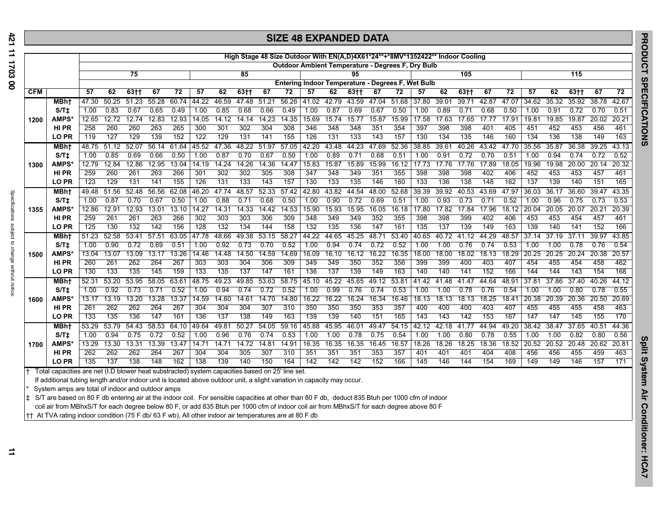|                                                                                                 | <b>SIZE 48 EXPANDED DATA</b>                                                                                            |            |            |              |              |              |            |            |              |              |            |            |                                                          |              |              |              |            |       |                    |            |            |            |            |              |              |              |
|-------------------------------------------------------------------------------------------------|-------------------------------------------------------------------------------------------------------------------------|------------|------------|--------------|--------------|--------------|------------|------------|--------------|--------------|------------|------------|----------------------------------------------------------|--------------|--------------|--------------|------------|-------|--------------------|------------|------------|------------|------------|--------------|--------------|--------------|
|                                                                                                 | High Stage 48 Size Outdoor With EN(A,D)4X61*24**+*8MV*1352422** Indoor Cooling                                          |            |            |              |              |              |            |            |              |              |            |            |                                                          |              |              |              |            |       |                    |            |            |            |            |              |              |              |
|                                                                                                 |                                                                                                                         |            |            |              |              |              |            |            |              |              |            |            | <b>Outdoor Ambient Temperature - Degrees F, Dry Bulb</b> |              |              |              |            |       |                    |            |            |            |            |              |              |              |
|                                                                                                 |                                                                                                                         |            |            | 75           |              |              |            |            | 85           |              |            |            |                                                          | 95           |              |              |            |       | 105                |            |            |            |            | 115          |              |              |
|                                                                                                 |                                                                                                                         |            |            |              |              |              |            |            |              |              |            |            | Entering Indoor Temperature - Degrees F, Wet Bulb        |              |              |              |            |       |                    |            |            |            |            |              |              |              |
| <b>CFM</b>                                                                                      |                                                                                                                         | 57         | 62         | $63+$        | 67           | 72           | 57         | 62         | $63+$        | 67           | 72         | 57         | 62                                                       | $63+$        | 67           | 72           | 57         | 62    | $63 + 1$           | 67         | 72         | 57         | 62         | $63+$        | 67           | 72           |
|                                                                                                 | <b>MBh†</b>                                                                                                             | 47.30      | 50.25      | 51.23        | 55.28        | 60.74        | 44.22      | 46.59      | 47.48        | 51.21        | 56.26      | 41.02      | 42.79                                                    | 43.59        | 47.04 51.68  |              | 37.80      | 39.01 | 39.71              | 42.87      | 47.07      | 34.62      | 35.32      | 35.92        | 38.78        | 42.67        |
|                                                                                                 | S/Tt                                                                                                                    | 1.00       | 0.83       | 0.67         | 0.65         | 0.49         | 1.00       | 0.85       | 0.68         | 0.66         | 0.49       | 1.00       | 0.87                                                     | 0.69         | 0.67         | 0.50         | 1.00       | 0.89  | 0.71               | 0.68       | 0.50       | 1.00       | 0.91       | 0.72         | 0.70         | 0.51         |
| 1200                                                                                            | AMPS*                                                                                                                   | 12.65      | 12.72      | 12.74        | 12.83        | 12.93        | 14.05      | 14.12      | 14.14        | 14.23        | 14.35      | 15.69      | 15.74                                                    | 15.77        | 15.87        | 15.99        | 17.58      | 17.63 | 17.65              | 17.77      | 17.91      | 19.81      | 19.85      | 19.87        | 20.02        | 20.21        |
|                                                                                                 | HI PR                                                                                                                   | 258        | 260        | 260          | 263          | 265          | 300        | 301        | 302          | 304          | 308        | 346        | 348                                                      | 348          | 351          | 354          | 397        | 398   | 398                | 401        | 405        | 451        | 452        | 453          | 456          | 461          |
|                                                                                                 | LO PR                                                                                                                   | 119        | 127        | 129          | 139          | 152          | 122        | 129        | 131          | 141          | 155        | 126        | 131                                                      | 133          | 143          | 157          | 130        | 134   | 135                | 146        | 160        | 134        | 136        | 138          | 149          | 163          |
|                                                                                                 | MBht                                                                                                                    | 48.75      | 51.12      | 52.07        |              | 56.14 61.64  | 45.52      | 47.36      | 48.22        | 51.97        | 57.05      | 42.20      | 43.48                                                    | 44.23        | 47.69        | 52.36        | 38.85      | 39.61 | 40.26              | 43.42      | 47.70      | 35.56      | 35.87      | 36.38        | 39.25        | 43.13        |
|                                                                                                 | S/T <sub>1</sub>                                                                                                        | 1.00       | 0.85       | 0.69         | 0.66         | 0.50         | 1.00       | 0.87       | 0.70         | 0.67         | 0.50       | 1.00       | 0.89                                                     | 0.71         | 0.68         | 0.51         | 1.00       | 0.91  | 0.72               | 0.70       | 0.51       | 1.00       | 0.94       | 0.74         | 0.72         | 0.52         |
| 1300                                                                                            | <b>AMPS</b> *                                                                                                           | 12.79      | 12.84      | 12.86        | 12.95        | 13.04        | 14.19      | 14.24      | 14.26        | 14.36        | 14.47      | 15.83      | 15.87                                                    | 15.89        | 15.99        | 16.12        | 17.73      | 17.76 | 17.76              | 17.89      | 18.05      | 19.96      | 19.98      | 20.00        | 20.14        | 20.32        |
|                                                                                                 | HI PR                                                                                                                   | 259        | 260        | 261          | 263          | 266          | 301        | 302        | 302          | 305          | 308        | 347        | 348                                                      | 349          | 351          | 355          | 398        | 398   | 398                | 402        | 406        | 452        | 453        | 453          | 457          | 461          |
|                                                                                                 | LO PR                                                                                                                   | 123        | 129        | 131          | 141          | 155          | 126        | 131        | 133          | 143          | 157        | 130        | 133                                                      | 135          | 146          | 160          | 133        | 136   | 138                | 148        | 162        | 137        | 139        | 140          | 151          | 165          |
|                                                                                                 | MBh <sup>+</sup>                                                                                                        | 49.48      | 51.56      | 52.48        | 56.56        | 62.08        | 46.20      | 47.74      | 48.57        | 52.33        | 57.42      | 42.80      | 43.82                                                    | 44.54        | 48.00        | 52.68        | 39.39      | 39.92 | 40.53              | 43.69      | 47.97      | 36.03      | 36.17      | 36.60        | 39.47        | 43.35        |
|                                                                                                 | S/Tt                                                                                                                    | 1.00       | 0.87       | 0.70         | 0.67         | 0.50         | 1.00       | 0.88       | 0.71         | 0.68         | 0.50       | 1.00       | 0.90                                                     | 0.72         | 0.69         | 0.51         | 1.00       | 0.93  | 0.73               | 0.71       | 0.52       | 1.00       | 0.96       | 0.75         | 0.73         | 0.53         |
| 1355                                                                                            | <b>AMPS</b> *                                                                                                           | 12.86      | 12.91      | 12.93<br>261 | 13.01<br>263 | 13.10<br>266 | 14.27      | 14.31      | 14.33<br>303 | 14.42<br>306 | 14.53      | 15.90      | 15.93                                                    | 15.95<br>349 | 16.05<br>352 | 16.18<br>355 | 17.80      | 398   | 17.82 17.84<br>399 | 17.96      | 18.12      | 20.04      | 20.05      | 20.07<br>454 | 20.21<br>457 | 20.39<br>461 |
|                                                                                                 | <b>HIPR</b><br>LO PR                                                                                                    | 259<br>125 | 261<br>130 | 132          | 142          | 156          | 302<br>128 | 303<br>132 | 134          | 144          | 309<br>158 | 348<br>132 | 349<br>135                                               | 136          | 147          | 161          | 398<br>135 | 137   | 139                | 402<br>149 | 406<br>163 | 453<br>139 | 453<br>140 | 141          | 152          | 166          |
|                                                                                                 | MBht                                                                                                                    | 51.23      | 52.58      | 53.41        | 57.51        | 63.05        | 47.78      | 48.66      | 49.38        | 53.15        | 58.27      | 44.22      | 44.65                                                    | 45.25        | 48.71        | 53.40        | 40.65      |       | 40.72 41.12        | 44.29      | 48.57      | 37.14      | 37.19      | 37.11        | 39.97        | 43.85        |
|                                                                                                 | S/Tt                                                                                                                    | 1.00       | 0.90       | 0.72         | 0.69         | 0.51         | 1.00       | 0.92       | 0.73         | 0.70         | 0.52       | 1.00       | 0.94                                                     | 0.74         | 0.72         | 0.52         | 1.00       | 1.00  | 0.76               | 0.74       | 0.53       | 1.00       | 1.00       | 0.78         | 0.76         | 0.54         |
| 1500                                                                                            | AMPS*                                                                                                                   | 13.04      | 13.07      | 13.09        | 13.17        | 13.26        | 14.46      | 14.48      | 14.50        | 14.59        | 14.69      | 16.09      | 16.10                                                    | 16.12        | 16.22        | 16.35        | 18.00      | 18.00 | 18.02              | 18.13      | 18.29      | 20.25      | 20.25      | 20.24        | 20.38        | 20.57        |
|                                                                                                 | <b>HIPR</b>                                                                                                             | 260        | 261        | 262          | 264          | 267          | 303        | 303        | 304          | 306          | 309        | 349        | 349                                                      | 350          | 352          | 356          | 399        | 399   | 400                | 403        | 407        | 454        | 455        | 454          | 458          | 462          |
|                                                                                                 | LO PR                                                                                                                   | 130        | 133        | 135          | 145          | 159          | 133        | 135        | 137          | 147          | 161        | 136        | 137                                                      | 139          | 149          | 163          | 140        | 140   | 141                | 152        | 166        | 144        | 144        | 143          | 154          | 168          |
|                                                                                                 | MBht                                                                                                                    | 52.31      | 53.20      | 53.95        | 58.05        | 63.61        | 48.75      | 49.23      | 49.85        | 53.63        | 58.75      | 45.10      | 45.22                                                    | 45.65        | 49.12 53.81  |              | 41.42      | 41.48 | 41.47              | 44.64      | 48.91      | 37.81      | 37.86      | 37.40        | 40.26        | 44.12        |
|                                                                                                 | S/T <sub>1</sub>                                                                                                        | 1.00       | 0.92       | 0.73         | 0.71         | 0.52         | 1.00       | 0.94       | 0.74         | 0.72         | 0.52       | 1.00       | 0.99                                                     | 0.76         | 0.74         | 0.53         | 1.00       | 1.00  | 0.78               | 0.76       | 0.54       | 1.00       | 1.00       | 0.80         | 0.78         | 0.55         |
| 1600                                                                                            | AMPS*                                                                                                                   | 13.17      | 13.19      | 13.20        | 13.28        | 13.37        | 14.59      | 14.60      | 14.61        | 14.70        | 14.80      | 16.22      | 16.22                                                    | 16.24        | 16.34        | 16.46        | 18.13      | 18.13 | 18.13              | 18.25      | 18.41      | 20.38      | 20.39      | 20.36        | 20.50        | 20.69        |
|                                                                                                 | HI PR                                                                                                                   | 261        | 262        | 262          | 264          | 267          | 304        | 304        | 304          | 307          | 310        | 350        | 350                                                      | 350          | 353          | 357          | 400        | 400   | 400                | 403        | 407        | 455        | 455        | 455          | 458          | 463          |
|                                                                                                 | <b>LO PR</b>                                                                                                            | 133        | 135        | 136          | 147          | 161          | 136        | 137        | 138          | 149          | 163        | 139        | 139                                                      | 140          | 151          | 165          | 143        | 143   | 142                | 153        | 167        | 147        | 147        | 145          | 155          | 170          |
|                                                                                                 | <b>MBht</b>                                                                                                             | 53.29      | 53.79      | 54.43        | 58.53        | 64.10        | 49.64      | 49.81      | 50.27        | 54.05        | 59.16      | 45.88      | 45.95                                                    | 46.01        | 49.47        | 54.15        | 42.12      | 42.18 | 41.77              | 44.94      | 49.20      | 38.42      | 38.47      | 37.65        | 40.51        | 44.36        |
|                                                                                                 | S/T <sub>1</sub>                                                                                                        | 1.00       | 0.94       | 0.75         | 0.72         | 0.52         | 1.00       | 0.96       | 0.76         | 0.74         | 0.53       | 1.00       | 1.00                                                     | 0.78         | 0.75         | 0.54         | 1.00       | 1.00  | 0.80               | 0.78       | 0.55       | 1.00       | 1.00       | 0.82         | 0.80         | 0.56         |
| 1700                                                                                            | AMPS*                                                                                                                   | 13.29      | 13.30      | 13.31        | 13.39        | 13.47        | 14.71      | 14.71      | 14.72        | 14.81        | 14.91      | 16.35      | 16.35                                                    | 16.35        | 16.45        | 16.57        | 18.26      | 18.26 | 18.25              | 18.36      | 18.52      | 20.52      | 20.52      | 20.48        | 20.62        | 20.81        |
|                                                                                                 | <b>HIPR</b>                                                                                                             | 262        | 262        | 262          | 264          | 267          | 304        | 304        | 305          | 307          | 310        | 351        | 351                                                      | 351          | 353          | 357          | 401        | 401   | 401                | 404        | 408        | 456        | 456        | 455          | 459          | 463          |
|                                                                                                 | LO PR                                                                                                                   | 135        | 137        | 138          | 148          | 162          | 138        | 139        | 140          | 150          | 164        | 142        | 142                                                      | 142          | 152          | 166          | 145        | 146   | 144                | 154        | 169        | 149        | 149        | 146          | 157          | 171          |
| Total capacities are net (I.D blower heat substracted) system capacities based on 25' line set. |                                                                                                                         |            |            |              |              |              |            |            |              |              |            |            |                                                          |              |              |              |            |       |                    |            |            |            |            |              |              |              |
|                                                                                                 | If additional tubing length and/or indoor unit is located above outdoor unit, a slight variation in capacity may occur. |            |            |              |              |              |            |            |              |              |            |            |                                                          |              |              |              |            |       |                    |            |            |            |            |              |              |              |

System amps are total of indoor and outdoor amps

 $\vert$   $\downarrow$  S/T are based on 80 F db entering air at the indoor coil. For sensible capacities at other than 80 F db, deduct 835 Btuh per 1000 cfm of indoor

coil air from MBhxS/T for each degree below 80 F, or add 835 Btuh per 1000 cfm of indoor coil air from MBhxS/T for each degree above 80 F

†† At TVA rating indoor condition (75 F db/ 63 F wb), All other indoor air temperatures are at 80 F db

**PRODUCT SPECIFICATIONS**

PRODUCT SPECIFICATIONS

Split System Air Conditioner: HCA7 **Split System Air Conditioner: HCA7**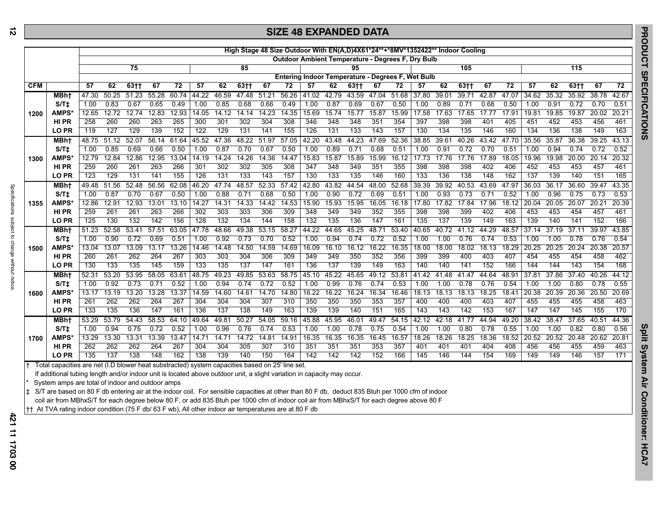# **SIZE 48 EXPANDED DATA**

|            |                                                                                                          | High Stage 48 Size Outdoor With EN(A,D)4X61*24**+*8MV*1352422** Indoor Cooling |       |                     |       |       |       |       |       |       |                   |       |                |       |       |                                                          |       |       |       |       |       |       |       |       |       |                 |
|------------|----------------------------------------------------------------------------------------------------------|--------------------------------------------------------------------------------|-------|---------------------|-------|-------|-------|-------|-------|-------|-------------------|-------|----------------|-------|-------|----------------------------------------------------------|-------|-------|-------|-------|-------|-------|-------|-------|-------|-----------------|
|            |                                                                                                          |                                                                                |       |                     |       |       |       |       |       |       |                   |       |                |       |       | <b>Outdoor Ambient Temperature - Degrees F, Dry Bulb</b> |       |       |       |       |       |       |       |       |       |                 |
|            |                                                                                                          |                                                                                |       | $\overline{75}$     |       |       |       |       | 85    |       |                   |       |                | 95    |       |                                                          |       |       | 105   |       |       |       |       | 115   |       |                 |
|            |                                                                                                          |                                                                                |       |                     |       |       |       |       |       |       |                   |       |                |       |       | Entering Indoor Temperature - Degrees F, Wet Bulb        |       |       |       |       |       |       |       |       |       |                 |
| <b>CFM</b> |                                                                                                          | 57                                                                             | 62    | $63+$               | 67    | 72    | 57    | 62    | $63+$ | 67    | 72                | 57    | 62             | $63+$ | 67    | 72                                                       | 57    | 62    | $63+$ | 67    | 72    | 57    | 62    | $63+$ | 67    | $\overline{72}$ |
|            | <b>MBht</b>                                                                                              | 47.30                                                                          | 50.25 | $\overline{51}$ .23 | 55.28 | 60.74 | 44.22 | 46.59 | 47.48 | 51.21 | 56.26             | 41.02 | $\sqrt{42.79}$ | 43.59 | 47.04 | 51.68                                                    | 37.80 | 39.01 | 39.71 | 42.87 | 47.07 | 34.62 | 35.32 | 35.92 | 38.78 | 42.67           |
|            | S/Tt                                                                                                     | 1.00                                                                           | 0.83  | 0.67                | 0.65  | 0.49  | 1.00  | 0.85  | 0.68  | 0.66  | 0.49              | 1.00  | 0.87           | 0.69  | 0.67  | 0.50                                                     | 1.00  | 0.89  | 0.71  | 0.68  | 0.50  | 1.00  | 0.91  | 0.72  | 0.70  | 0.51            |
| 1200       | <b>AMPS</b>                                                                                              | 12.65                                                                          | 12.72 | 12.74               | 12.83 | 12.93 | 14.05 | 14.12 | 14.14 | 14.23 | 14.35             | 15.69 | 15.74          | 15.77 | 15.87 | 15.99                                                    | 17.58 | 17.63 | 17.65 | 17.77 | 17.91 | 19.81 | 19.85 | 19.87 | 20.02 | 20.21           |
|            | <b>HIPR</b>                                                                                              | 258                                                                            | 260   | 260                 | 263   | 265   | 300   | 301   | 302   | 304   | 308               | 346   | 348            | 348   | 351   | 354                                                      | 397   | 398   | 398   | 401   | 405   | 451   | 452   | 453   | 456   | 461             |
|            | LO PR                                                                                                    | 119                                                                            | 127   | 129                 | 139   | 152   | 122   | 129   | 131   | 141   | 155               | 126   | 131            | 133   | 143   | 157                                                      | 130   | 134   | 135   | 146   | 160   | 134   | 136   | 138   | 149   | 163             |
|            | <b>MBht</b>                                                                                              | 48.75                                                                          | 51.12 | 52.07               | 56.14 | 61.64 | 45.52 | 47.36 | 48.22 | 51.97 | 57.05             | 42.20 | 43.48          | 44.23 | 47.69 | 52.36                                                    | 38.85 | 39.61 | 40.26 | 43.42 | 47.70 | 35.56 | 35.87 | 36.38 | 39.25 | 43.13           |
|            | S/T <sub>1</sub>                                                                                         | 1.00                                                                           | 0.85  | 0.69                | 0.66  | 0.50  | 1.00  | 0.87  | 0.70  | 0.67  | 0.50              | 1.00  | 0.89           | 0.71  | 0.68  | 0.51                                                     | 1.00  | 0.91  | 0.72  | 0.70  | 0.51  | 1.00  | 0.94  | 0.74  | 0.72  | 0.52            |
| 1300       | <b>AMPS</b>                                                                                              | 12.79                                                                          | 12.84 | 12.86               | 12.95 | 13.04 | 14.19 | 14.24 | 14.26 | 14.36 | 14.47             | 15.83 | 15.87          | 15.89 | 15.99 | 16.12                                                    | 17.73 | 17.76 | 17.76 | 17.89 | 18.05 | 19.96 | 19.98 | 20.00 | 20.14 | 20.32           |
|            | <b>HIPR</b>                                                                                              | 259                                                                            | 260   | 261                 | 263   | 266   | 301   | 302   | 302   | 305   | 308               | 347   | 348            | 349   | 351   | 355                                                      | 398   | 398   | 398   | 402   | 406   | 452   | 453   | 453   | 457   | 461             |
|            | LO PR                                                                                                    | 123                                                                            | 129   | 131                 | 141   | 155   | 126   | 131   | 133   | 143   | 157               | 130   | 133            | 135   | 146   | 160                                                      | 133   | 136   | 138   | 148   | 162   | 137   | 139   | 140   | 151   | 165             |
|            | MBh <sub>t</sub>                                                                                         | 49.48                                                                          | 51.56 | 52.48               | 56.56 | 62.08 | 46.20 | 47.74 | 48.57 | 52.33 | 57.42             | 42.80 | 43.82          | 44.54 | 48.00 | 52.68                                                    | 39.39 | 39.92 | 40.53 | 43.69 | 47.97 | 36.03 | 36.17 | 36.60 | 39.47 | 43.35           |
|            | S/Tt                                                                                                     | 1.00                                                                           | 0.87  | 0.70                | 0.67  | 0.50  | 1.00  | 0.88  | 0.71  | 0.68  | 0.50              | 1.00  | 0.90           | 0.72  | 0.69  | 0.51                                                     | 1.00  | 0.93  | 0.73  | 0.71  | 0.52  | 1.00  | 0.96  | 0.75  | 0.73  | 0.53            |
| 1355       | AMPS*                                                                                                    | 12.86                                                                          | 12.91 | 12.93               | 13.01 | 13.10 | 14.27 | 14.31 | 14.33 | 14.42 | 14.53             | 15.90 | 15.93          | 15.95 | 16.05 | 16.18                                                    | 17.80 | 17.82 | 17.84 | 17.96 | 18.12 | 20.04 | 20.05 | 20.07 | 20.21 | 20.39           |
|            | <b>HIPR</b>                                                                                              | 259                                                                            | 261   | 261                 | 263   | 266   | 302   | 303   | 303   | 306   | 309               | 348   | 349            | 349   | 352   | 355                                                      | 398   | 398   | 399   | 402   | 406   | 453   | 453   | 454   | 457   | 461             |
|            | LO PR                                                                                                    | 125                                                                            | 130   | 132                 | 142   | 156   | 128   | 132   | 134   | 144   | 158               | 132   | 135            | 136   | 147   | 161                                                      | 135   | 137   | 139   | 149   | 163   | 139   | 140   | 141   | 152   | 166             |
|            | <b>MBht</b>                                                                                              | 51.23                                                                          | 52.58 | 53.41               | 57.51 | 63.05 | 47.78 | 48.66 | 49.38 | 53.15 | 58.27             | 44.22 | 44.65          | 45.25 | 48.71 | 53.40                                                    | 40.65 | 40.72 | 41.12 | 44.29 | 48.57 | 37.14 | 37.19 | 37.11 | 39.97 | 43.85           |
|            | S/Tt                                                                                                     | 1.00                                                                           | 0.90  | 0.72                | 0.69  | 0.51  | 1.00  | 0.92  | 0.73  | 0.70  | 0.52              | 1.00  | 0.94           | 0.74  | 0.72  | 0.52                                                     | 1.00  | 1.00  | 0.76  | 0.74  | 0.53  | 1.00  | 1.00  | 0.78  | 0.76  | 0.54            |
| 1500       | <b>AMPS</b>                                                                                              | 13.04                                                                          | 13.07 | 13.09               | 13.17 | 13.26 | 14.46 | 14.48 | 14.50 | 14.59 | 14.69             | 16.09 | 16.10          | 16.12 | 16.22 | 16.35                                                    | 18.00 | 18.00 | 18.02 | 18.13 | 18.29 | 20.25 | 20.25 | 20.24 | 20.38 | 20.57           |
|            | <b>HIPR</b>                                                                                              | 260                                                                            | 261   | 262                 | 264   | 267   | 303   | 303   | 304   | 306   | 309               | 349   | 349            | 350   | 352   | 356                                                      | 399   | 399   | 400   | 403   | 407   | 454   | 455   | 454   | 458   | 462             |
|            | LO PR                                                                                                    | 130                                                                            | 133   | 135                 | 145   | 159   | 133   | 135   | 137   | 147   | 161               | 136   | 137            | 139   | 149   | 163                                                      | 140   | 140   | 141   | 152   | 166   | 144   | 144   | 143   | 154   | 168             |
|            | MBht                                                                                                     | 52.31                                                                          | 53.20 | 53.95               | 58.05 | 63.61 | 48.75 | 49.23 | 49.85 | 53.63 | 58.75             | 45.10 | 45.22          | 45.65 | 49.12 | 53.81                                                    | 41.42 | 41.48 | 41.47 | 44.64 | 48.91 | 37.81 | 37.86 | 37.40 | 40.26 | 44.12           |
|            | S/T <sub>1</sub>                                                                                         | 1.00                                                                           | 0.92  | 0.73                | 0.71  | 0.52  | 1.00  | 0.94  | 0.74  | 0.72  | 0.52              | 1.00  | 0.99           | 0.76  | 0.74  | 0.53                                                     | 1.00  | 1.00  | 0.78  | 0.76  | 0.54  | 1.00  | 1.00  | 0.80  | 0.78  | 0.55            |
| 1600       | <b>AMPS</b>                                                                                              | 13.17                                                                          | 13.19 | 13.20               | 13.28 | 13.37 | 14.59 | 14.60 | 14.61 | 14.70 | 14.80             | 16.22 | 16.22          | 16.24 | 16.34 | 16.46                                                    | 18.13 | 18.13 | 18.13 | 18.25 | 18.4' | 20.38 | 20.39 | 20.36 | 20.50 | 20.69           |
|            | <b>HIPR</b>                                                                                              | 261                                                                            | 262   | 262                 | 264   | 267   | 304   | 304   | 304   | 307   | 310               | 350   | 350            | 350   | 353   | 357                                                      | 400   | 400   | 400   | 403   | 407   | 455   | 455   | 455   | 458   | 463             |
|            | LO PR                                                                                                    | 133                                                                            | 135   | 136                 | 147   | 161   | 136   | 137   | 138   | 149   | 163               | 139   | 139            | 140   | 151   | 165                                                      | 143   | 143   | 142   | 153   | 167   | 147   | 147   | 145   | 155   | 170             |
|            | <b>MBht</b>                                                                                              | 53.29                                                                          | 53.79 | 54.43               | 58.53 | 64.10 | 49.64 | 49.81 | 50.27 | 54.05 | 59.16             | 45.88 | 45.95          | 46.01 | 49.47 | 54.15                                                    | 42.12 | 42.18 | 41.77 | 44.94 | 49.20 | 38.42 | 38.47 | 37.65 | 40.51 | 44.36           |
|            | S/Tt                                                                                                     | 1.00                                                                           | 0.94  | 0.75                | 0.72  | 0.52  | 1.00  | 0.96  | 0.76  | 0.74  | 0.53              | 1.00  | 1.00           | 0.78  | 0.75  | 0.54                                                     | 1.00  | 1.00  | 0.80  | 0.78  | 0.55  | 1.00  | 1.00  | 0.82  | 0.80  | 0.56            |
| 1700       | <b>AMPS</b>                                                                                              | 13.29                                                                          | 13.30 | 13.31               | 13.39 | 13.47 | 14.71 | 14.71 | 14.72 | 14.81 | 14.9 <sup>2</sup> | 16.35 | 16.35          | 16.35 | 16.45 | 16.57                                                    | 18.26 | 18.26 | 18.25 | 18.36 | 18.52 | 20.52 | 20.52 | 20.48 | 20.62 | 20.81           |
|            | HI PR                                                                                                    | 262                                                                            | 262   | 262                 | 264   | 267   | 304   | 304   | 305   | 307   | 310               | 351   | 351            | 351   | 353   | 357                                                      | 401   | 401   | 401   | 404   | 408   | 456   | 456   | 455   | 459   | 463             |
|            | LO PR<br>+ Total connection are not (LD blower boat substracted) system connection based on 25' line set | 135                                                                            | 137   | 138                 | 148   | 162   | 138   | 139   | 140   | 150   | 164               | 142   | 142            | 142   | 152   | 166                                                      | 145   | 146   | 144   | 154   | 169   | 149   | 149   | 146   | 157   | 171             |

† Total capacities are net (I.D blower heat substracted) system capacities based on 25' line set.

If additional tubing length and/or indoor unit is located above outdoor unit, a slight variation in capacity may occur.

System amps are total of indoor and outdoor amps

‡ S/T are based on 80 F db entering air at the indoor coil. For sensible capacities at other than 80 F db, deduct 835 Btuh per 1000 cfm of indoor coil air from MBhxS/T for each degree below 80 F, or add 835 Btuh per 1000 cfm of indoor coil air from MBhxS/T for each degree above 80 F

†† At TVA rating indoor condition (75 F db/ 63 F wb), All other indoor air temperatures are at 80 F db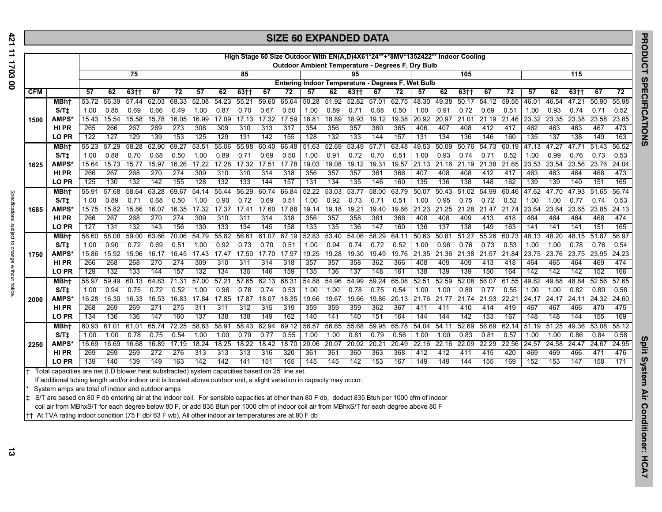$\vec{\omega}$ 

|            | JILE OV EAFANDED DAIA                                                                                                                                                                                                      |       |       |        |             |       |       |             |             |       |                 |       |       |             |             |                                                          |       |       |             |       |             |                   |       |       |             |       |  |
|------------|----------------------------------------------------------------------------------------------------------------------------------------------------------------------------------------------------------------------------|-------|-------|--------|-------------|-------|-------|-------------|-------------|-------|-----------------|-------|-------|-------------|-------------|----------------------------------------------------------|-------|-------|-------------|-------|-------------|-------------------|-------|-------|-------------|-------|--|
|            | High Stage 60 Size Outdoor With EN(A,D)4X61*24**+*8MV*1352422** Indoor Cooling                                                                                                                                             |       |       |        |             |       |       |             |             |       |                 |       |       |             |             |                                                          |       |       |             |       |             |                   |       |       |             |       |  |
|            |                                                                                                                                                                                                                            |       |       |        |             |       |       |             |             |       |                 |       |       |             |             | <b>Outdoor Ambient Temperature - Degrees F, Dry Bulb</b> |       |       |             |       |             |                   |       |       |             |       |  |
|            |                                                                                                                                                                                                                            |       |       | 75     |             |       |       |             | 85          |       |                 |       |       | 95          |             |                                                          |       |       | 105         |       |             |                   |       | 115   |             |       |  |
|            |                                                                                                                                                                                                                            |       |       |        |             |       |       |             |             |       |                 |       |       |             |             | Entering Indoor Temperature - Degrees F, Wet Bulb        |       |       |             |       |             |                   |       |       |             |       |  |
| <b>CFM</b> |                                                                                                                                                                                                                            | 57    | 62    | $63+1$ | 67          | 72    | 57    | 62          | $63+$       | 67    | 72              | 57    | 62    | $63+$       | 67          | 72                                                       | 57    | 62    | $63+1$      | 67    | 72          | 57                | 62    | $63+$ | 67          | 72    |  |
|            | <b>MBht</b>                                                                                                                                                                                                                | 53.72 | 56.39 | 57.44  | 62.03       | 68.33 | 52.08 | 54.23       | 55.21       | 59.60 | 65.64           | 50.28 | 51.92 | 52.82 57.01 |             | 62.75                                                    | 48.30 | 49.38 | 50.17       | 54.12 | 59.55       | 46.01             | 46.54 | 47.21 | 50.90       | 55.98 |  |
|            | S/Tt                                                                                                                                                                                                                       | 1.00  | 0.85  | 0.69   | 0.66        | 0.49  | 1.00  | 0.87        | 0.70        | 0.67  | 0.50            | 1.00  | 0.89  | 0.71        | 0.68        | 0.50                                                     | 1.00  | 0.91  | 0.72        | 0.69  | 0.51        | 1.00              | 0.93  | 0.74  | 0.71        | 0.52  |  |
| 1500       | <b>AMPS*</b>                                                                                                                                                                                                               | 15.43 | 15.54 | 15.58  | 15.78       | 16.05 | 16.99 | 17.09       | 17.13       | 17.32 | 17.59           | 18.81 | 18.89 | 18.93       | 19.12       | 19.38                                                    | 20.92 | 20.97 | 21.01       | 21.19 | 21.46 23.32 |                   | 23.35 | 23.38 | 23.58       | 23.85 |  |
|            | HI PR                                                                                                                                                                                                                      | 265   | 266   | 267    | 269         | 273   | 308   | 309         | 310         | 313   | 317             | 354   | 356   | 357         | 360         | 365                                                      | 406   | 407   | 408         | 412   | 417         | 462               | 463   | 463   | 467         | 473   |  |
|            | LO PR                                                                                                                                                                                                                      | 122   | 127   | 129    | 139         | 153   | 125   | 129         | 131         | 142   | 155             | 128   | 132   | 133         | 144         | 157                                                      | 131   | 134   | 136         | 146   | 160         | 135               | 137   | 138   | 149         | 163   |  |
|            | <b>MBht</b>                                                                                                                                                                                                                | 55.23 | 57.29 | 58.28  | 62.90       | 69.27 | 53.51 | 55.06       | 55.98       | 60.40 | 66.48           | 51.63 | 52.69 | 53.49       | 57.71       | 63.48                                                    | 49.53 | 50.09 | 50.76       | 54.73 | 60.19       | 47.13             | 47.27 | 47.71 | 51.43       | 56.52 |  |
|            | S/Tt                                                                                                                                                                                                                       | 1.00  | 0.88  | 0.70   | 0.68        | 0.50  | 1.00  | 0.89        | 0.71        | 0.69  | 0.50            | 1.00  | 0.91  | 0.72        | 0.70        | 0.51                                                     | 1.00  | 0.93  | 0.74        | 0.71  | 0.52        | 1.00              | 0.99  | 0.76  | 0.73        | 0.53  |  |
| 1625       | <b>AMPS</b>                                                                                                                                                                                                                | 15.64 | 15.73 | 15.77  | 15.97       | 16.26 | 17.22 |             | 17.28 17.32 | 17.51 | 17.78           | 19.03 | 19.08 | 19.12 19.31 |             | 19.57                                                    | 21.13 | 21.16 | 21.19       | 21.38 |             | 21.65 23.53       | 23.54 | 23.56 | 23.76       | 24.04 |  |
|            | HI PR                                                                                                                                                                                                                      | 266   | 267   | 268    | 270         | 274   | 309   | 310         | 310         | 314   | 318             | 356   | 357   | 357         | 361         | 366                                                      | 407   | 408   | 408         | 412   | 417         | 463               | 463   | 464   | 468         | 473   |  |
|            | <b>LOPR</b>                                                                                                                                                                                                                | 125   | 130   | 132    | 142         | 155   | 128   | 132         | 133         | 144   | 157             | 131   | 134   | 135         | 146         | 160                                                      | 135   | 136   | 138         | 148   | 162         | 139               | 139   | 140   | 151         | 165   |  |
|            | <b>MBht</b>                                                                                                                                                                                                                | 55.91 | 57.68 |        | 58.64 63.28 | 69.67 | 54.14 | 55.44       | 56.29       | 60.74 | 66.84           | 52.22 | 53.03 | 53.77       | 58.00       | 63.79                                                    | 50.07 |       | 50.43 51.02 | 54.99 |             | 60.46 47.62       | 47.70 | 47.93 | 51.65       | 56.74 |  |
|            | S/Tt                                                                                                                                                                                                                       | 1.00  | 0.89  | 0.71   | 0.68        | 0.50  | 1.00  | 0.90        | 0.72        | 0.69  | 0.51            | 1.00  | 0.92  | 0.73        | 0.71        | 0.51                                                     | 1.00  | 0.95  | 0.75        | 0.72  | 0.52        | 1.00              | 1.00  | 0.77  | 0.74        | 0.53  |  |
| 1685       | AMPS*                                                                                                                                                                                                                      | 15.75 | 15.82 | 15.86  | 16.07       | 16.35 | 17.32 | 17.37       | 17.41       | 17.60 | 17.88           | 19.14 | 19.18 | 19.21       | 19.40       | 19.66                                                    | 21.23 | 21.25 | 21.28       | 21.47 | 21.74 23.64 |                   | 23.64 | 23.65 | 23.85       | 24.13 |  |
|            | HI PR                                                                                                                                                                                                                      | 266   | 267   | 268    | 270         | 274   | 309   | 310         | 311         | 314   | 318             | 356   | 357   | 358         | 361         | 366                                                      | 408   | 408   | 409         | 413   | 418         | 464               | 464   | 464   | 468         | 474   |  |
|            | <b>LOPR</b>                                                                                                                                                                                                                | 127   | 131   | 132    | 143         | 156   | 130   | 133         | 134         | 145   | 158             | 133   | 135   | 136         | 147         | 160                                                      | 136   | 137   | 138         | 149   | 163         | 141               | 141   | 141   | 151         | 165   |  |
|            | MBht                                                                                                                                                                                                                       | 56.60 | 58.08 |        | 59.00 63.66 | 70.06 | 54.79 | 55.82 56.61 |             | 61.07 | $67.19$ $52.83$ |       | 53.40 |             | 54.06 58.29 | 64.11                                                    | 50.63 | 50.81 | 51.27       | 55.26 | 60.73       | 48.13             | 48.20 |       | 48.15 51.87 | 56.97 |  |
|            | S/T <sub>1</sub>                                                                                                                                                                                                           | 1.00  | 0.90  | 0.72   | 0.69        | 0.51  | 1.00  | 0.92        | 0.73        | 0.70  | 0.51            | 1.00  | 0.94  | 0.74        | 0.72        | 0.52                                                     | 1.00  | 0.96  | 0.76        | 0.73  | 0.53        | 1.00              | 1.00  | 0.78  | 0.76        | 0.54  |  |
| 1750       | AMPS*                                                                                                                                                                                                                      | 15.86 | 15.92 | 15.96  | 16.17       | 16.45 | 17.43 | 17.47       | 17.50       | 17.70 | 17.97           | 19.25 | 19.28 | 19.30       | 19.49       | 19.76                                                    | 21.35 | 21.36 | 21.38       | 21.57 | 21.84       | 23.75             | 23.76 | 23.75 | 23.95       | 24.23 |  |
|            | HI PR                                                                                                                                                                                                                      | 266   | 268   | 268    | 270         | 274   | 309   | 310         | 311         | 314   | 318             | 357   | 357   | 358         | 362         | 366                                                      | 408   | 409   | 409         | 413   | 418         | 464               | 465   | 464   | 469         | 474   |  |
|            | <b>LOPR</b>                                                                                                                                                                                                                | 129   | 132   | 133    | 144         | 157   | 132   | 134         | 135         | 146   | 159             | 135   | 136   | 137         | 148         | 161                                                      | 138   | 139   | 139         | 150   | 164         | 142               | 142   | 142   | 152         | 166   |  |
|            | <b>MBht</b>                                                                                                                                                                                                                | 58.97 | 59.49 | 60.13  | 64.83       | 71.31 | 57.00 | 57.21       | 57.65       | 62.13 | 68.31           | 54.88 | 54.96 | 54.99       | 59.24       | 65.08                                                    | 52.51 | 52.59 | 52.08       | 56.07 | 61.55       | 49.82             | 49.88 | 48.84 | 52.56       | 57.65 |  |
|            | S/Tt                                                                                                                                                                                                                       | 1.00  | 0.94  | 0.75   | 0.72        | 0.52  | 1.00  | 0.96        | 0.76        | 0.74  | 0.53            | 1.00  | 1.00  | 0.78        | 0.75        | 0.54                                                     | 1.00  | 1.00  | 0.80        | 0.77  | 0.55        | 1.00              | 1.00  | 0.82  | 0.80        | 0.56  |  |
| 2000       | <b>AMPS*</b>                                                                                                                                                                                                               | 16.28 | 16.30 | 16.33  | 16.53       | 16.83 | 17.84 | 17.85       | 17.87       | 18.07 | 18.35           | 19.66 | 19.67 | 19.66       | 19.86       | 20.13                                                    | 21.76 | 21.77 | 21.74       | 21.93 | 22.21       | 24.17             | 24.17 | 24.11 | 24.32       | 24.60 |  |
|            | HI PR                                                                                                                                                                                                                      | 268   | 269   | 269    | 271         | 275   | 311   | 311         | 312         | 315   | 319             | 359   | 359   | 359         | 362         | 367                                                      | 411   | 411   | 410         | 414   | 419         | 467               | 467   | 466   | 470         | 475   |  |
|            | LO PR                                                                                                                                                                                                                      | 134   | 136   | 136    | 147         | 160   | 137   | 138         | 138         | 149   | 162             | 140   | 141   | 140         | 151         | 164                                                      | 144   | 144   | 142         | 153   | 167         | 148               | 148   | 144   | 155         | 169   |  |
|            | <b>MBht</b>                                                                                                                                                                                                                | 60.93 | 61.01 | 61.01  | 65.74       | 72.25 | 58.83 | 58.91       | 58.43       | 62.94 | 69.12           | 56.57 | 56.65 | 55.68       | 59.95       | 65.78                                                    | 54.04 | 54.11 | 52.69       | 56.69 |             | 62.14 51.19 51.25 |       | 49.36 | 53.08       | 58.12 |  |
|            | S/Tt                                                                                                                                                                                                                       | 1.00  | 1.00  | 0.78   | 0.75        | 0.54  | 1.00  | 1.00        | 0.79        | 0.77  | 0.55            | 1.00  | 1.00  | 0.81        | 0.79        | 0.56                                                     | 1.00  | 1.00  | 0.83        | 0.81  | 0.57        | 1.00              | 1.00  | 0.86  | 0.84        | 0.58  |  |
| 2250       | AMPS'                                                                                                                                                                                                                      | 16.69 | 16.69 | 16.68  | 16.89       | 17.19 | 18.24 | 18.25       | 18.22       | 18.42 | 18.70           | 20.06 | 20.07 | 20.02       | 20.21       | 20.49                                                    | 22.16 | 22.16 | 22.09       | 22.29 | 22.56       | 24.57             | 24.58 | 24.47 | 24.67       | 24.95 |  |
|            | HI PR                                                                                                                                                                                                                      | 269   | 269   | 269    | 272         | 276   | 313   | 313         | 313         | 316   | 320             | 361   | 361   | 360         | 363         | 368                                                      | 412   | 412   | 411         | 415   | 420         | 469               | 469   | 466   | 471         | 476   |  |
|            | <b>LOPR</b>                                                                                                                                                                                                                | 139   | 140   | 139    | 149         | 163   | 142   | 142         | 141         | 151   | 165             | 145   | 145   | 142         | 153         | 167                                                      | 149   | 149   | 144         | 155   | 169         | 152               | 153   | 147   | 158         | 171   |  |
|            | Total capacities are net (I.D blower heat substracted) system capacities based on 25' line set.<br>If additional tubing length and/or indoor unit is located above outdoor unit, a slight variation in capacity may occur. |       |       |        |             |       |       |             |             |       |                 |       |       |             |             |                                                          |       |       |             |       |             |                   |       |       |             |       |  |
|            |                                                                                                                                                                                                                            |       |       |        |             |       |       |             |             |       |                 |       |       |             |             |                                                          |       |       |             |       |             |                   |       |       |             |       |  |

**SIZE 60 EXPANDED DATA**

System amps are total of indoor and outdoor amps

 $\vert$   $\downarrow$  S/T are based on 80 F db entering air at the indoor coil. For sensible capacities at other than 80 F db, deduct 835 Btuh per 1000 cfm of indoor

coil air from MBhxS/T for each degree below 80 F, or add 835 Btuh per 1000 cfm of indoor coil air from MBhxS/T for each degree above 80 F

†† At TVA rating indoor condition (75 F db/ 63 F wb), All other indoor air temperatures are at 80 F db

Split System Air Conditioner: HCA7 **Split System Air Conditioner: HCA7**

**PRODUCT SPECIFICATIONS**

PRODUCT SPECIFICATIONS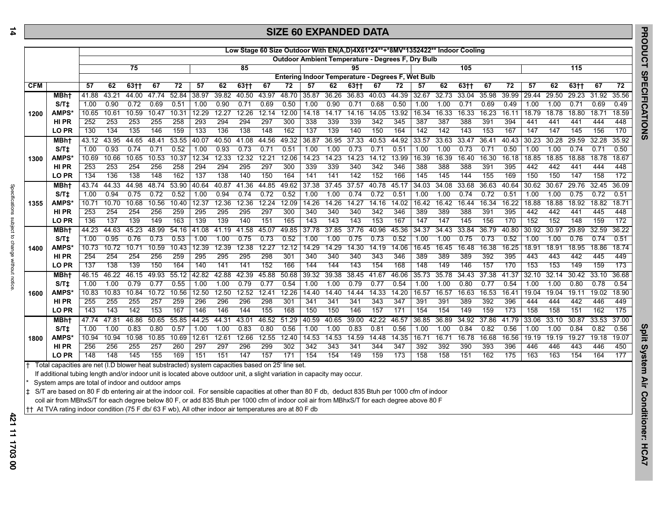# **SIZE 60 EXPANDED DATA**

|            |                                                                                          | Low Stage 60 Size Outdoor With EN(A,D)4X61*24**+*8MV*1352422** Indoor Cooling |       |       |       |                    |       |                            |       |            |                    |       |       |       |       |                                                          |       |       |       |       |       |       |                    |       |       |       |
|------------|------------------------------------------------------------------------------------------|-------------------------------------------------------------------------------|-------|-------|-------|--------------------|-------|----------------------------|-------|------------|--------------------|-------|-------|-------|-------|----------------------------------------------------------|-------|-------|-------|-------|-------|-------|--------------------|-------|-------|-------|
|            |                                                                                          |                                                                               |       |       |       |                    |       |                            |       |            |                    |       |       |       |       | <b>Outdoor Ambient Temperature - Degrees F, Dry Bulb</b> |       |       |       |       |       |       |                    |       |       |       |
|            |                                                                                          |                                                                               |       | 75    |       |                    |       |                            | 85    |            |                    |       |       | 95    |       |                                                          |       |       | 105   |       |       |       |                    | 115   |       |       |
|            |                                                                                          |                                                                               |       |       |       |                    |       |                            |       |            |                    |       |       |       |       | Entering Indoor Temperature - Degrees F, Wet Bulb        |       |       |       |       |       |       |                    |       |       |       |
| <b>CFM</b> |                                                                                          | 57                                                                            | 62    | $63+$ | 67    | 72                 | 57    | 62                         | $63+$ | 67         | 72                 | 57    | 62    | $63+$ | 67    | 72                                                       | 57    | 62    | $63+$ | 67    | 72    | 57    | 62                 | $63+$ | 67    | 72    |
|            | <b>MBht</b>                                                                              | 41.88                                                                         | 43.21 | 44.00 | 47.74 | $\overline{52.84}$ | 38.97 | 39.82                      | 40.50 | 43.97      | 48.70              | 35.87 | 36.26 | 36.83 | 40.03 | 44.39                                                    | 32.67 | 32.73 | 33.04 | 35.98 | 39.99 | 29.44 | 29.50              | 29.23 | 31.92 | 35.56 |
|            | S/Tt                                                                                     | 1.00                                                                          | 0.90  | 0.72  | 0.69  | 0.51               | 1.00  | 0.90                       | 0.71  | 0.69       | 0.50               | 1.00  | 0.90  | 0.71  | 0.68  | 0.50                                                     | 1.00  | 1.00  | 0.71  | 0.69  | 0.49  | 1.00  | 1.00               | 0.71  | 0.69  | 0.49  |
| 1200       | <b>AMPS</b>                                                                              | 10.65                                                                         | 10.61 | 10.59 | 10.47 | 10.31              | 12.29 | 12.27                      | 12.26 | 12.14      | 12.00              | 14.18 | 14.17 | 14.16 | 14.05 | 13.92                                                    | 16.34 | 16.33 | 16.33 | 16.23 | 16.11 | 18.79 | 18.78              | 18.80 | 18.71 | 18.59 |
|            | HI PR                                                                                    | 252                                                                           | 253   | 253   | 255   | 258                | 293   | 294                        | 294   | 297        | 300                | 338   | 339   | 339   | 342   | 345                                                      | 387   | 387   | 388   | 391   | 394   | 441   | 441                | 441   | 444   | 448   |
|            | LO PR                                                                                    | 130                                                                           | 134   | 135   | 146   | 159                | 133   | 136                        | 138   | 148        | 162                | 137   | 139   | 140   | 150   | 164                                                      | 142   | 142   | 143   | 153   | 167   | 147   | 147                | 145   | 156   | 170   |
|            | <b>MBht</b>                                                                              | 43.12                                                                         | 43.95 | 44.65 | 48.41 | 53.55              | 40.07 | 40.50                      | 41.08 | 44.56      | 49.32              | 36.87 | 36.95 | 37.33 | 40.53 | 44.92                                                    | 33.57 | 33.63 | 33.47 | 36.41 | 40.43 | 30.23 | 30.28              | 29.59 | 32.28 | 35.92 |
|            | S/Tt                                                                                     | 1.00                                                                          | 0.93  | 0.74  | 0.71  | 0.52               | 1.00  | 0.93                       | 0.73  | 0.71       | 0.51               | 1.00  | 1.00  | 0.73  | 0.71  | 0.51                                                     | 1.00  | 1.00  | 0.73  | 0.71  | 0.50  | 1.00  | 1.00               | 0.74  | 0.71  | 0.50  |
| 1300       | <b>AMPS</b>                                                                              | 10.69                                                                         | 10.66 | 10.65 | 10.53 | 10.37              | 12.34 | 12.33                      | 12.32 | 12.21      | 12.06              | 14.23 | 14.23 | 14.23 | 14.12 | 13.99                                                    | 16.39 | 16.39 | 16.40 | 16.30 | 16.18 | 18.85 | 18.85              | 18.88 | 18.78 | 18.67 |
|            | HI PR                                                                                    | 253                                                                           | 253   | 254   | 256   | 258                | 294   | 294                        | 295   | 297        | 300                | 339   | 339   | 340   | 342   | 346                                                      | 388   | 388   | 388   | 391   | 395   | 442   | 442                | 441   | 444   | 448   |
|            | LO PR                                                                                    | 134                                                                           | 136   | 138   | 148   | 162                | 137   | 138                        | 140   | 150        | 164                | 141   | 141   | 142   | 152   | 166                                                      | 145   | 145   | 144   | 155   | 169   | 150   | 150                | 147   | 158   | 172   |
|            | <b>MBht</b>                                                                              | 43.74                                                                         | 44.33 | 44.98 | 48.74 | 53.90              | 40.64 | 40.87                      | 41.36 | 44.85      | 49.62              | 37.38 | 37.45 | 37.57 | 40.78 | 45.17                                                    | 34.03 | 34.08 | 33.68 | 36.63 | 40.64 | 30.62 | 30.67              | 29.76 | 32.45 | 36.09 |
| 1355       | S/T <sub>1</sub>                                                                         | 1.00                                                                          | 0.94  | 0.75  | 0.72  | 0.52               | 1.00  | 0.94                       | 0.74  | 0.72       | 0.52               | 1.00  | 1.00  | 0.74  | 0.72  | 0.51                                                     | 1.00  | 1.00  | 0.74  | 0.72  | 0.51  | 1.00  | 1.00               | 0.75  | 0.72  | 0.51  |
|            | <b>AMPS</b>                                                                              | 10.71                                                                         | 10.70 | 10.68 | 10.56 | 10.40              | 12.37 | 12.36                      | 12.36 | 12.24      | 12.09              | 14.26 | 14.26 | 14.27 | 14.16 | 14.02                                                    | 16.42 | 16.42 | 16.44 | 16.34 | 16.22 | 18.88 | 18.88              | 18.92 | 18.82 | 18.71 |
|            | <b>HIPR</b>                                                                              | 253                                                                           | 254   | 254   | 256   | 259                | 295   | 295                        | 295   | 297        | 300                | 340   | 340   | 340   | 342   | 346                                                      | 389   | 389   | 388   | 391   | 395   | 442   | 442                | 441   | 445   | 448   |
|            | LO PR                                                                                    | 136                                                                           | 137   | 139   | 149   | 163                | 139   | 139                        | 140   | 151        | 165                | 143   | 143   | 143   | 153   | 167                                                      | 147   | 147   | 145   | 156   | 170   | 152   | 152                | 148   | 159   | 172   |
|            | <b>MBht</b>                                                                              | 44.23                                                                         | 44.63 | 45.23 | 48.99 | 54.16              | 41.08 | 41.19                      | 41.58 | 45.07      | 49.85              | 37.78 | 37.85 | 37.76 | 40.96 | 45.36                                                    | 34.37 | 34.43 | 33.84 | 36.79 | 40.80 | 30.92 | $\overline{30.97}$ | 29.89 | 32.59 | 36.22 |
|            | S/Tt                                                                                     | 1.00                                                                          | 0.95  | 0.76  | 0.73  | 0.53               | 1.00  | 1.00                       | 0.75  | 0.73       | 0.52               | 1.00  | 1.00  | 0.75  | 0.73  | 0.52                                                     | 1.00  | 1.00  | 0.75  | 0.73  | 0.52  | 1.00  | 1.00               | 0.76  | 0.74  | 0.51  |
| 1400       | <b>AMPS</b>                                                                              | 10.73                                                                         | 10.72 | 10.71 | 10.59 | 10.43              | 12.39 | 12.39                      | 12.38 | 12.27      | 12.12              | 14.29 | 14.29 | 14.30 | 14.19 | 14.06                                                    | 16.45 | 16.45 | 16.48 | 16.38 | 16.25 | 18.91 | 18.91              | 18.95 | 18.86 | 18.74 |
|            | <b>HIPR</b>                                                                              | 254                                                                           | 254   | 254   | 256   | 259                | 295   | 295                        | 295   | 298        | 301                | 340   | 340   | 340   | 343   | 346                                                      | 389   | 389   | 389   | 392   | 395   | 443   | 443                | 442   | 445   | 449   |
|            | LO PR                                                                                    | 137                                                                           | 138   | 139   | 150   | 164                | 140   | 141                        | 141   | 152        | 166                | 144   | 144   | 143   | 154   | 168                                                      | 148   | 149   | 146   | 157   | 170   | 153   | 153                | 149   | 159   | 173   |
|            | MBht                                                                                     | 46.15                                                                         | 46.22 | 46.15 | 49.93 | 55.12              | 42.82 | 42.88                      | 42.39 | 45.88      | 50.68              | 39.32 | 39.38 | 38.45 | 41.67 | 46.06                                                    | 35.73 | 35.78 | 34.43 | 37.38 | 41.37 | 32.10 | 32.14              | 30.42 | 33.10 | 36.68 |
|            | S/T <sub>1</sub>                                                                         | 1.00                                                                          | 1.00  | 0.79  | 0.77  | 0.55               | 1.00  | 1.00                       | 0.79  | 0.77       | 0.54               | 1.00  | 1.00  | 0.79  | 0.77  | 0.54                                                     | 1.00  | 1.00  | 0.80  | 0.77  | 0.54  | 1.00  | 1.00               | 0.80  | 0.78  | 0.54  |
| 1600       | <b>AMPS</b>                                                                              | 10.83                                                                         | 10.83 | 10.84 | 10.72 | 10.56              | 12.50 | 12.50                      | 12.52 | 12.41      | 12.26              | 14.40 | 14.40 | 14.44 | 14.33 | 14.20                                                    | 16.57 | 16.57 | 16.63 | 16.53 | 16.41 | 19.04 | 19.04              | 19.11 | 19.02 | 18.90 |
|            | <b>HIPR</b>                                                                              | 255                                                                           | 255   | 255   | 257   | 259                | 296   | 296                        | 296   | 298        | 301                | 341   | 341   | 341   | 343   | 347                                                      | 391   | 391   | 389   | 392   | 396   | 444   | 444                | 442   | 446   | 449   |
|            | LO PR                                                                                    | 143                                                                           | 143   | 142   | 153   | 167                | 146   | 146                        | 144   | 155        | 168                | 150   | 150   | 146   | 157   | 171                                                      | 154   | 154   | 149   | 159   | 173   | 158   | 158                | 151   | 162   | 175   |
|            | <b>MBht</b>                                                                              | 47.74                                                                         | 47.81 | 46.86 | 50.65 | 55.85              | 44.25 | 44.31                      | 43.01 | 46.52      | 51.29              | 40.59 | 40.65 | 39.00 | 42.22 | 46.57                                                    | 36.85 | 36.89 | 34.92 | 37.86 | 41.79 | 33.06 | 33.10              | 30.87 | 33.53 | 37.00 |
|            | S/Tt                                                                                     | 1.00                                                                          | 1.00  | 0.83  | 0.80  | 0.57               | 1.00  | 1.00                       | 0.83  | 0.80       | 0.56               | 1.00  | 1.00  | 0.83  | 0.81  | 0.56                                                     | 1.00  | 1.00  | 0.84  | 0.82  | 0.56  | 1.00  | 1.00               | 0.84  | 0.82  | 0.56  |
| 1800       | <b>AMPS</b>                                                                              | 10.94                                                                         | 10.94 | 10.98 | 10.85 | 10.69              | 12.61 | 12.61                      | 12.66 | 12.55      | 12.40              | 14.53 | 14.53 | 14.59 | 14.48 | 14.35                                                    | 16.71 | 16.71 | 16.78 | 16.68 | 16.56 | 19.19 | 19.19              | 19.27 | 19.18 | 19.07 |
|            | HI PR                                                                                    | 256                                                                           | 256   | 255   | 257   | 260                | 297   | 297                        | 296   | 299        | 302                | 342   | 343   | 341   | 344   | 347                                                      | 392   | 392   | 390   | 393   | 396   | 446   | 446                | 443   | 446   | 450   |
|            | LO PR<br>$+$ Total conceition are not ( $\overline{D}$ blower boot substracted) overcom- | 148                                                                           | 148   | 145   | 155   | 169                | 151   | 151<br>conocition hoped on | 147   | 157<br>יסמ | 171<br>$line \sim$ | 154   | 154   | 149   | 159   | 173                                                      | 158   | 158   | 151   | 162   | 175   | 163   | 163                | 154   | 164   | 177   |

† Total capacities are net (I.D blower heat substracted) system capacities based on 25' line set. If additional tubing length and/or indoor unit is located above outdoor unit, a slight variation in capacity may occur.

System amps are total of indoor and outdoor amps

‡ S/T are based on 80 F db entering air at the indoor coil. For sensible capacities at other than 80 F db, deduct 835 Btuh per 1000 cfm of indoor coil air from MBhxS/T for each degree below 80 F, or add 835 Btuh per 1000 cfm of indoor coil air from MBhxS/T for each degree above 80 F

†† At TVA rating indoor condition (75 F db/ 63 F wb), All other indoor air temperatures are at 80 F db